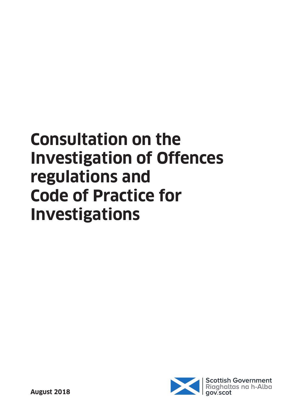# **Consultation on the Investigation of Offences regulations and Code of Practice for Investigations**

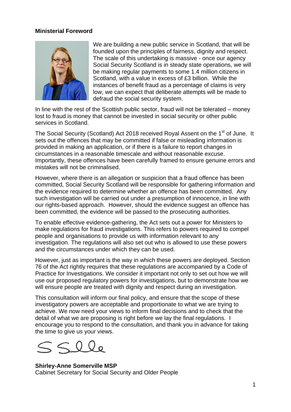#### **Ministerial Foreword**



We are building a new public service in Scotland, that will be founded upon the principles of fairness, dignity and respect. The scale of this undertaking is massive - once our agency Social Security Scotland is in steady state operations, we will be making regular payments to some 1.4 million citizens in Scotland, with a value in excess of £3 billion. While the instances of benefit fraud as a percentage of claims is very low, we can expect that deliberate attempts will be made to defraud the social security system.

In line with the rest of the Scottish public sector, fraud will not be tolerated – money lost to fraud is money that cannot be invested in social security or other public services in Scotland.

The Social Security (Scotland) Act 2018 received Royal Assent on the 1<sup>st</sup> of June. It sets out the offences that may be committed if false or misleading information is provided in making an application, or if there is a failure to report changes in circumstances in a reasonable timescale and without reasonable excuse. Importantly, these offences have been carefully framed to ensure genuine errors and mistakes will not be criminalised.

However, where there is an allegation or suspicion that a fraud offence has been committed, Social Security Scotland will be responsible for gathering information and the evidence required to determine whether an offence has been committed. Any such investigation will be carried out under a presumption of innocence, in line with our rights-based approach. However, should the evidence suggest an offence has been committed, the evidence will be passed to the prosecuting authorities.

To enable effective evidence-gathering, the Act sets out a power for Ministers to make regulations for fraud investigations. This refers to powers required to compel people and organisations to provide us with information relevant to any investigation. The regulations will also set out who is allowed to use these powers and the circumstances under which they can be used.

However, just as important is the way in which these powers are deployed. Section 76 of the Act rightly requires that these regulations are accompanied by a Code of Practice for Investigations. We consider it important not only to set out how we will use our proposed regulatory powers for investigations, but to demonstrate how we will ensure people are treated with dignity and respect during an investigation.

This consultation will inform our final policy, and ensure that the scope of these investigatory powers are acceptable and proportionate to what we are trying to achieve. We now need your views to inform final decisions and to check that the detail of what we are proposing is right before we lay the final regulations. I encourage you to respond to the consultation, and thank you in advance for taking the time to give us your views.

**Shirley-Anne Somerville MSP**  Cabinet Secretary for Social Security and Older People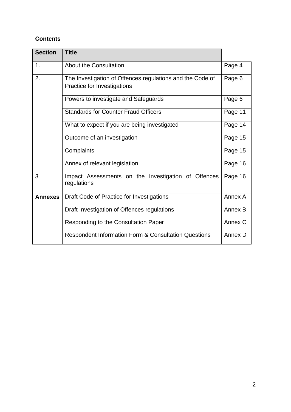## **Contents**

| <b>Section</b> | <b>Title</b>                                                                             |         |  |  |  |  |  |
|----------------|------------------------------------------------------------------------------------------|---------|--|--|--|--|--|
| 1.             | <b>About the Consultation</b>                                                            | Page 4  |  |  |  |  |  |
| 2.             | The Investigation of Offences regulations and the Code of<br>Practice for Investigations |         |  |  |  |  |  |
|                | Powers to investigate and Safeguards                                                     | Page 6  |  |  |  |  |  |
|                | <b>Standards for Counter Fraud Officers</b>                                              |         |  |  |  |  |  |
|                | What to expect if you are being investigated                                             |         |  |  |  |  |  |
|                | Outcome of an investigation                                                              |         |  |  |  |  |  |
|                | Complaints                                                                               | Page 15 |  |  |  |  |  |
|                | Annex of relevant legislation                                                            | Page 16 |  |  |  |  |  |
| 3              | Impact Assessments on the Investigation of Offences<br>regulations                       | Page 16 |  |  |  |  |  |
| <b>Annexes</b> | Draft Code of Practice for Investigations                                                | Annex A |  |  |  |  |  |
|                | Draft Investigation of Offences regulations                                              | Annex B |  |  |  |  |  |
|                | Responding to the Consultation Paper                                                     | Annex C |  |  |  |  |  |
|                | <b>Respondent Information Form &amp; Consultation Questions</b>                          | Annex D |  |  |  |  |  |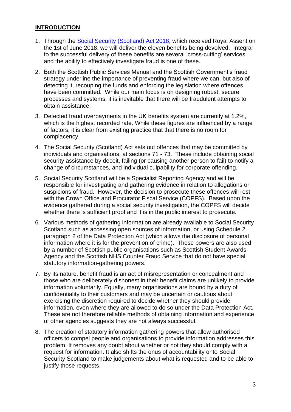### **INTRODUCTION**

- 1. Through the [Social Security \(Scotland\) Act 2018,](http://www.legislation.gov.uk/asp/2018/9/contents/enacted) which received Royal Assent on the 1st of June 2018, we will deliver the eleven benefits being devolved. Integral to the successful delivery of these benefits are several 'cross-cutting' services and the ability to effectively investigate fraud is one of these.
- 2. Both the Scottish Public Services Manual and the Scottish Government's fraud strategy underline the importance of preventing fraud where we can, but also of detecting it, recouping the funds and enforcing the legislation where offences have been committed. While our main focus is on designing robust, secure processes and systems, it is inevitable that there will be fraudulent attempts to obtain assistance.
- 3. Detected fraud overpayments in the UK benefits system are currently at 1.2%, which is the highest recorded rate. While these figures are influenced by a range of factors, it is clear from existing practice that that there is no room for complacency.
- 4. The Social Security (Scotland) Act sets out offences that may be committed by individuals and organisations, at sections 71 - 73. These include obtaining social security assistance by deceit, failing (or causing another person to fail) to notify a change of circumstances, and individual culpability for corporate offending.
- 5. Social Security Scotland will be a Specialist Reporting Agency and will be responsible for investigating and gathering evidence in relation to allegations or suspicions of fraud. However, the decision to prosecute these offences will rest with the Crown Office and Procurator Fiscal Service (COPFS). Based upon the evidence gathered during a social security investigation, the COPFS will decide whether there is sufficient proof and it is in the public interest to prosecute.
- 6. Various methods of gathering information are already available to Social Security Scotland such as accessing open sources of information, or using Schedule 2 paragraph 2 of the Data Protection Act (which allows the disclosure of personal information where it is for the prevention of crime). Those powers are also used by a number of Scottish public organisations such as Scottish Student Awards Agency and the Scottish NHS Counter Fraud Service that do not have special statutory information-gathering powers.
- 7. By its nature, benefit fraud is an act of misrepresentation or concealment and those who are deliberately dishonest in their benefit claims are unlikely to provide information voluntarily. Equally, many organisations are bound by a duty of confidentiality to their customers and may be uncertain or cautious about exercising the discretion required to decide whether they should provide information, even where they are allowed to do so under the Data Protection Act. These are not therefore reliable methods of obtaining information and experience of other agencies suggests they are not always successful.
- 8. The creation of statutory information gathering powers that allow authorised officers to compel people and organisations to provide information addresses this problem. It removes any doubt about whether or not they should comply with a request for information. It also shifts the onus of accountability onto Social Security Scotland to make judgements about what is requested and to be able to justify those requests.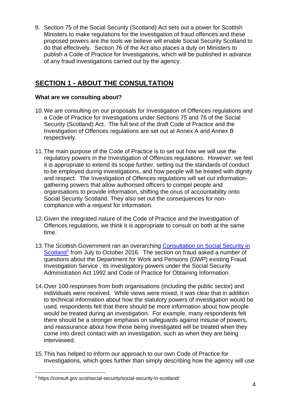9. Section 75 of the Social Security (Scotland) Act sets out a power for Scottish Ministers to make regulations for the investigation of fraud offences and these proposed powers are the tools we believe will enable Social Security Scotland to do that effectively. Section 76 of the Act also places a duty on Ministers to publish a Code of Practice for Investigations, which will be published in advance of any fraud investigations carried out by the agency.

## **SECTION 1 - ABOUT THE CONSULTATION**

## **What are we consulting about?**

- 10.We are consulting on our proposals for Investigation of Offences regulations and a Code of Practice for Investigations under Sections 75 and 76 of the Social Security (Scotland) Act. The full text of the draft Code of Practice and the Investigation of Offences regulations are set out at Annex A and Annex B respectively.
- 11.The main purpose of the Code of Practice is to set out how we will use the regulatory powers in the Investigation of Offences regulations. However, we feel it is appropriate to extend its scope further, setting out the standards of conduct to be employed during investigations, and how people will be treated with dignity and respect. The Investigation of Offences regulations will set out informationgathering powers that allow authorised officers to compel people and organisations to provide information, shifting the onus of accountability onto Social Security Scotland. They also set out the consequences for noncompliance with a request for information.
- 12.Given the integrated nature of the Code of Practice and the Investigation of Offences regulations, we think it is appropriate to consult on both at the same time.
- 13. The Scottish Government ran an overarching Consultation on Social Security in [Scotland](https://consult.gov.scot/social-security/social-security-in-scotland/)<sup>1</sup> from July to October 2016. The section on fraud asked a number of questions about the Department for Work and Pensions (DWP) existing Fraud Investigation Service , its investigatory powers under the Social Security Administration Act 1992 and Code of Practice for Obtaining Information.
- 14.Over 100 responses from both organisations (including the public sector) and individuals were received. While views were mixed, it was clear that in addition to technical information about how the statutory powers of investigation would be used, respondents felt that there should be more information about how people would be treated during an investigation. For example, many respondents felt there should be a stronger emphasis on safeguards against misuse of powers, and reassurance about how those being investigated will be treated when they come into direct contact with an investigation, such as when they are being interviewed.
- 15.This has helped to inform our approach to our own Code of Practice for Investigations, which goes further than simply describing how the agency will use

 1 https://consult.gov.scot/social-security/social-security-in-scotland/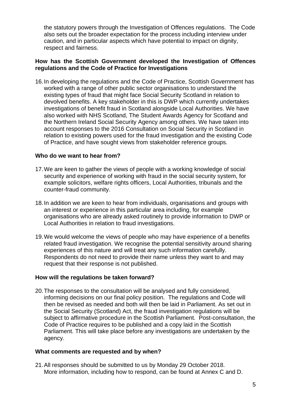the statutory powers through the Investigation of Offences regulations. The Code also sets out the broader expectation for the process including interview under caution, and in particular aspects which have potential to impact on dignity, respect and fairness.

#### **How has the Scottish Government developed the Investigation of Offences regulations and the Code of Practice for Investigations**

16.In developing the regulations and the Code of Practice, Scottish Government has worked with a range of other public sector organisations to understand the existing types of fraud that might face Social Security Scotland in relation to devolved benefits. A key stakeholder in this is DWP which currently undertakes investigations of benefit fraud in Scotland alongside Local Authorities. We have also worked with NHS Scotland, The Student Awards Agency for Scotland and the Northern Ireland Social Security Agency among others. We have taken into account responses to the 2016 Consultation on Social Security in Scotland in relation to existing powers used for the fraud investigation and the existing Code of Practice, and have sought views from stakeholder reference groups.

#### **Who do we want to hear from?**

- 17.We are keen to gather the views of people with a working knowledge of social security and experience of working with fraud in the social security system, for example solicitors, welfare rights officers, Local Authorities, tribunals and the counter-fraud community.
- 18.In addition we are keen to hear from individuals, organisations and groups with an interest or experience in this particular area including, for example organisations who are already asked routinely to provide information to DWP or Local Authorities in relation to fraud investigations.
- 19.We would welcome the views of people who may have experience of a benefits related fraud investigation. We recognise the potential sensitivity around sharing experiences of this nature and will treat any such information carefully. Respondents do not need to provide their name unless they want to and may request that their response is not published.

#### **How will the regulations be taken forward?**

20.The responses to the consultation will be analysed and fully considered, informing decisions on our final policy position. The regulations and Code will then be revised as needed and both will then be laid in Parliament. As set out in the Social Security (Scotland) Act, the fraud investigation regulations will be subject to affirmative procedure in the Scottish Parliament. Post-consultation, the Code of Practice requires to be published and a copy laid in the Scottish Parliament. This will take place before any investigations are undertaken by the agency.

#### **What comments are requested and by when?**

21.All responses should be submitted to us by Monday 29 October 2018. More information, including how to respond, can be found at Annex C and D.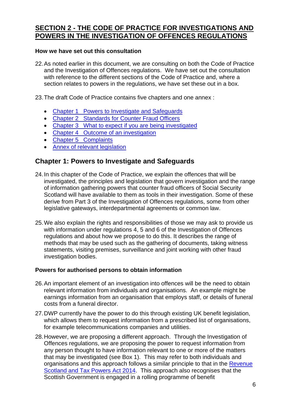## **SECTION 2 - THE CODE OF PRACTICE FOR INVESTIGATIONS AND POWERS IN THE INVESTIGATION OF OFFENCES REGULATIONS**

#### **How we have set out this consultation**

22.As noted earlier in this document, we are consulting on both the Code of Practice and the Investigation of Offences regulations. We have set out the consultation with reference to the different sections of the Code of Practice and, where a section relates to powers in the regulations, we have set these out in a box.

23.The draft Code of Practice contains five chapters and one annex :

- Chapter 1 Powers to Investigate and Safeguards
- [Chapter 2 Standards for Counter Fraud Officers](#page-30-0)
- [Chapter 3 What to expect if you are being investigated](#page-32-0)
- [Chapter 4 Outcome of an investigation](#page-35-0)
- [Chapter 5 Complaints](#page-37-0)
- [Annex of relevant legislation](#page-38-0)

## **Chapter 1: Powers to Investigate and Safeguards**

- 24.In this chapter of the Code of Practice, we explain the offences that will be investigated, the principles and legislation that govern investigation and the range of information gathering powers that counter fraud officers of Social Security Scotland will have available to them as tools in their investigation. Some of these derive from Part 3 of the Investigation of Offences regulations, some from other legislative gateways, interdepartmental agreements or common law.
- 25.We also explain the rights and responsibilities of those we may ask to provide us with information under regulations 4, 5 and 6 of the Investigation of Offences regulations and about how we propose to do this. It describes the range of methods that may be used such as the gathering of documents, taking witness statements, visiting premises, surveillance and joint working with other fraud investigation bodies.

### **Powers for authorised persons to obtain information**

- 26.An important element of an investigation into offences will be the need to obtain relevant information from individuals and organisations. An example might be earnings information from an organisation that employs staff, or details of funeral costs from a funeral director.
- 27.DWP currently have the power to do this through existing UK benefit legislation, which allows them to request information from a prescribed list of organisations, for example telecommunications companies and utilities.
- 28.However, we are proposing a different approach. Through the Investigation of Offences regulations, we are proposing the power to request information from any person thought to have information relevant to one or more of the matters that may be investigated (see Box 1). This may refer to both individuals and organisations and this approach follows a similar principle to that in the [Revenue](http://www.legislation.gov.uk/asp/2014/16/part/7/chapter/2)  [Scotland and Tax Powers Act 2014.](http://www.legislation.gov.uk/asp/2014/16/part/7/chapter/2) This approach also recognises that the Scottish Government is engaged in a rolling programme of benefit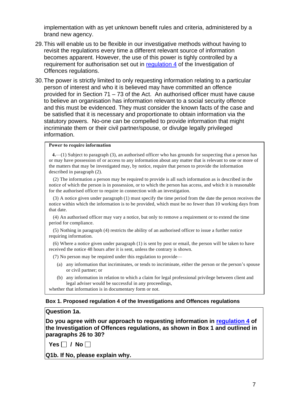implementation with as yet unknown benefit rules and criteria, administered by a brand new agency.

- 29.This will enable us to be flexible in our investigative methods without having to revisit the regulations every time a different relevant source of information becomes apparent. However, the use of this power is tighly controlled by a requirement for authorisation set out in [regulation 4](#page-40-0) of the Investigation of Offences regulations.
- 30.The power is strictly limited to only requesting information relating to a particular person of interest and who it is believed may have committed an offence provided for in Section 71 – 73 of the Act. An authorised officer must have cause to believe an organisation has information relevant to a social security offence and this must be evidenced. They must consider the known facts of the case and be satisfied that it is necessary and proportionate to obtain information via the statutory powers. No-one can be compelled to provide information that might incriminate them or their civil partner/spouse, or divulge legally privileged information.

#### **Power to require information**

**4.**—(1) Subject to paragraph (3), an authorised officer who has grounds for suspecting that a person has or may have possession of or access to any information about any matter that is relevant to one or more of the matters that may be investigated may, by notice, require that person to provide the information described in paragraph (2).

(2) The information a person may be required to provide is all such information as is described in the notice of which the person is in possession, or to which the person has access, and which it is reasonable for the authorised officer to require in connection with an investigation.

(3) A notice given under paragraph (1) must specify the time period from the date the person receives the notice within which the information is to be provided, which must be no fewer than 10 working days from that date.

(4) An authorised officer may vary a notice, but only to remove a requirement or to extend the time period for compliance.

(5) Nothing in paragraph (4) restricts the ability of an authorised officer to issue a further notice requiring information.

(6) Where a notice given under paragraph (1) is sent by post or email, the person will be taken to have received the notice 48 hours after it is sent, unless the contrary is shown.

(7) No person may be required under this regulation to provide—

- (a) any information that incriminates, or tends to incriminate, either the person or the person's spouse or civil partner; or
- (b) any information in relation to which a claim for legal professional privilege between client and legal adviser would be successful in any proceedings,

whether that information is in documentary form or not.

#### **Box 1. Proposed regulation 4 of the Investigations and Offences regulations**

#### **Question 1a.**

**Do you agree with our approach to requesting information in [regulation 4](#page-40-0) of the Investigation of Offences regulations, as shown in Box 1 and outlined in paragraphs 26 to 30?** 

 $Yes \Box / No \Box$ 

**Q1b. If No, please explain why.**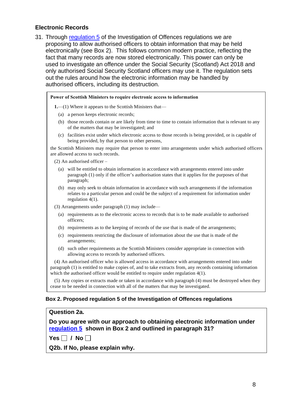#### **Electronic Records**

31. Through [regulation 5](#page-41-0) of the Investigation of Offences regulations we are proposing to allow authorised officers to obtain information that may be held electronically (see Box 2). This follows common modern practice, reflecting the fact that many records are now stored electronically. This power can only be used to investigate an offence under the Social Security (Scotland) Act 2018 and only authorised Social Security Scotland officers may use it. The regulation sets out the rules around how the electronic information may be handled by authorised officers, including its destruction.

#### **Power of Scottish Ministers to require electronic access to information**

**1.**—(1) Where it appears to the Scottish Ministers that—

- (a) a person keeps electronic records;
- (b) those records contain or are likely from time to time to contain information that is relevant to any of the matters that may be investigated; and
- (c) facilities exist under which electronic access to those records is being provided, or is capable of being provided, by that person to other persons,

the Scottish Ministers may require that person to enter into arrangements under which authorised officers are allowed access to such records.

(2) An authorised officer –

- (a) will be entitled to obtain information in accordance with arrangements entered into under paragraph (1) only if the officer's authorisation states that it applies for the purposes of that paragraph;
- (b) may only seek to obtain information in accordance with such arrangements if the information relates to a particular person and could be the subject of a requirement for information under regulation 4(1).

(3) Arrangements under paragraph (1) may include—

- (a) requirements as to the electronic access to records that is to be made available to authorised officers;
- (b) requirements as to the keeping of records of the use that is made of the arrangements;
- (c) requirements restricting the disclosure of information about the use that is made of the arrangements;
- (d) such other requirements as the Scottish Ministers consider appropriate in connection with allowing access to records by authorised officers.

(4) An authorised officer who is allowed access in accordance with arrangements entered into under paragraph (1) is entitled to make copies of, and to take extracts from, any records containing information which the authorised officer would be entitled to require under regulation 4(1).

(5) Any copies or extracts made or taken in accordance with paragraph (4) must be destroyed when they cease to be needed in connection with all of the matters that may be investigated.

#### **Box 2. Proposed regulation 5 of the Investigation of Offences regulations**

#### **Question 2a.**

**Do you agree with our approach to obtaining electronic information under [regulation 5](#page-41-0) shown in Box 2 and outlined in paragraph 31?** 

 $Yes \Box / No \Box$ 

**Q2b. If No, please explain why.**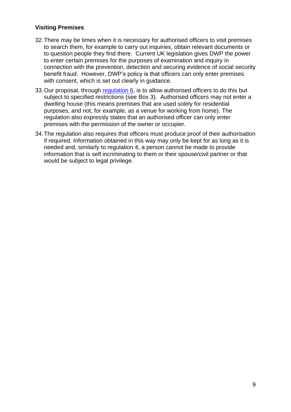### **Visiting Premises**

- 32.There may be times when it is necessary for authorised officers to visit premises to search them, for example to carry out inquiries, obtain relevant documents or to question people they find there. Current UK legislation gives DWP the power to enter certain premises for the purposes of examination and inquiry in connection with the prevention, detection and securing evidence of social security benefit fraud. However, DWP's policy is that officers can only enter premises with consent, which is set out clearly in guidance.
- 33.Our proposal, through [regulation 6,](#page-42-0) is to allow authorised officers to do this but subject to specified restrictions (see Box 3). Authorised officers may not enter a dwelling house (this means premises that are used solely for residential purposes, and not, for example, as a venue for working from home). The regulation also expressly states that an authorised officer can only enter premises with the permission of the owner or occupier.
- 34.The regulation also requires that officers must produce proof of their authorisation if required. Information obtained in this way may only be kept for as long as it is needed and, similarly to regulation 4, a person cannot be made to provide information that is self incriminating to them or their spouse/civil partner or that would be subject to legal privilege.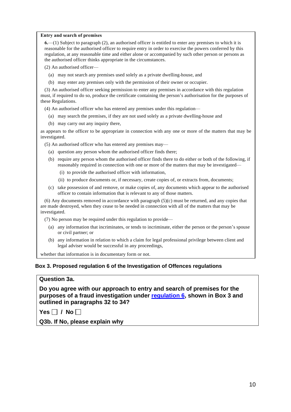#### **Entry and search of premises**

**6.**—(1) Subject to paragraph (2), an authorised officer is entitled to enter any premises to which it is reasonable for the authorised officer to require entry in order to exercise the powers conferred by this regulation, at any reasonable time and either alone or accompanied by such other person or persons as the authorised officer thinks appropriate in the circumstances.

(2) An authorised officer—

- (a) may not search any premises used solely as a private dwelling-house, and
- (b) may enter any premises only with the permission of their owner or occupier.

(3) An authorised officer seeking permission to enter any premises in accordance with this regulation must, if required to do so, produce the certificate containing the person's authorisation for the purposes of these Regulations.

(4) An authorised officer who has entered any premises under this regulation—

- (a) may search the premises, if they are not used solely as a private dwelling-house and
- (b) may carry out any inquiry there,

as appears to the officer to be appropriate in connection with any one or more of the matters that may be investigated.

(5) An authorised officer who has entered any premises may—

- (a) question any person whom the authorised officer finds there;
- (b) require any person whom the authorised officer finds there to do either or both of the following, if reasonably required in connection with one or more of the matters that may be investigated—
	- (i) to provide the authorised officer with information,
	- (ii) to produce documents or, if necessary, create copies of, or extracts from, documents;
- (c) take possession of and remove, or make copies of, any documents which appear to the authorised officer to contain information that is relevant to any of those matters.

(6) Any documents removed in accordance with paragraph (5)(c) must be returned, and any copies that are made destroyed, when they cease to be needed in connection with all of the matters that may be investigated.

(7) No person may be required under this regulation to provide—

- (a) any information that incriminates, or tends to incriminate, either the person or the person's spouse or civil partner; or
- (b) any information in relation to which a claim for legal professional privilege between client and legal adviser would be successful in any proceedings,

whether that information is in documentary form or not.

#### **Box 3. Proposed regulation 6 of the Investigation of Offences regulations**

#### **Question 3a.**

**Do you agree with our approach to entry and search of premises for the purposes of a fraud investigation under [regulation 6,](#page-42-0) shown in Box 3 and outlined in paragraphs 32 to 34?** 

 $Yes  $\Box$  / No  $\Box$$ 

**Q3b. If No, please explain why**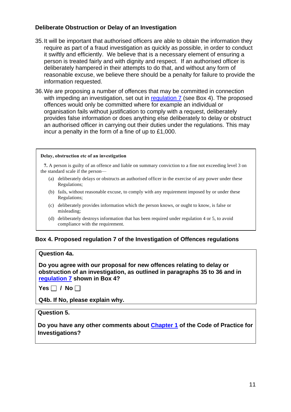## **Deliberate Obstruction or Delay of an Investigation**

- 35. It will be important that authorised officers are able to obtain the information they require as part of a fraud investigation as quickly as possible, in order to conduct it swiftly and efficiently. We believe that is a necessary element of ensuring a person is treated fairly and with dignity and respect. If an authorised officer is deliberately hampered in their attempts to do that, and without any form of reasonable excuse, we believe there should be a penalty for failure to provide the information requested.
- 36. We are proposing a number of offences that may be committed in connection with impeding an investigation, set out in [regulation 7](#page-43-0) (see Box 4). The proposed offences would only be committed where for example an individual or organisation fails without justification to comply with a request, deliberately provides false information or does anything else deliberately to delay or obstruct an authorised officer in carrying out their duties under the regulations. This may incur a penalty in the form of a fine of up to £1,000.

#### **Delay, obstruction etc of an investigation**

**7.** A person is guilty of an offence and liable on summary conviction to a fine not exceeding level 3 on the standard scale if the person— (a) deliberately delays or obstructs an authorised officer in the exercise of any power under these<br>Regulations;

- Regulations; (a) deliberately delays or obstructs an authorised officer in the exercise of any power under these<br>Regulations;<br>(b) fails, without reasonable excuse, to comply with any requirement imposed by or under these<br>Regulations;
- Regulations; (b) fails, without reasonable excuse, to comply with any requirement imposed by or under the person condenst Regulations;<br>(c) deliberately provides information which the person knows, or ought to know, is false or misleadi
- misleading; (c) deliberately provides information which the person knows, or ought to know, is false or misleading;<br>(d) deliberately destroys information that has been required under regulation 4 or 5, to avoid compliance with the req
- compliance with the requirement.

## **Box 4. Proposed regulation 7 of the Investigation of Offences regulations**

#### **Question 4a.**

**Do you agree with our proposal for new offences relating to delay or obstruction of an investigation, as outlined in paragraphs 35 to 36 and in [regulation 7](#page-43-0) shown in Box 4?** 

 $Yes \Box / No \Box$ 

**Q4b. If No, please explain why.** 

### **Question 5.**

**Do you have any other comments about [Chapter 1](#page-24-0) of the Code of Practice for Investigations?**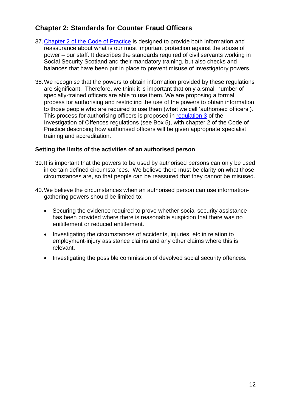## **Chapter 2: Standards for Counter Fraud Officers**

- 37[.Chapter 2 of the Code of Practice](#page-30-0) is designed to provide both information and reassurance about what is our most important protection against the abuse of power – our staff. It describes the standards required of civil servants working in Social Security Scotland and their mandatory training, but also checks and balances that have been put in place to prevent misuse of investigatory powers.
- 38. We recognise that the powers to obtain information provided by these regulations are significant. Therefore, we think it is important that only a small number of specially-trained officers are able to use them. We are proposing a formal process for authorising and restricting the use of the powers to obtain information to those people who are required to use them (what we call 'authorised officers'). This process for authorising officers is proposed in [regulation 3](#page-40-1) of the Investigation of Offences regulations (see Box 5), with chapter 2 of the Code of Practice describing how authorised officers will be given appropriate specialist training and accreditation.

#### **Setting the limits of the activities of an authorised person**

- 39. It is important that the powers to be used by authorised persons can only be used in certain defined circumstances. We believe there must be clarity on what those circumstances are, so that people can be reassured that they cannot be misused.
- 40. We believe the circumstances when an authorised person can use informationgathering powers should be limited to:
	- Securing the evidence required to prove whether social security assistance has been provided where there is reasonable suspicion that there was no enititlement or reduced entitlement.
	- Investigating the circumstances of accidents, injuries, etc in relation to employment-injury assistance claims and any other claims where this is relevant.
	- Investigating the possible commission of devolved social security offences.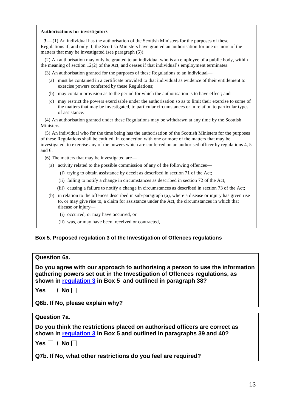#### **Authorisations for investigators**

**3.**—(1) An individual has the authorisation of the Scottish Ministers for the purposes of these Regulations if, and only if, the Scottish Ministers have granted an authorisation for one or more of the matters that may be investigated (see paragraph (5)). 3.—(1) An individual has the authorisation of the Scottish Ministers for the purposes of these egulations if, and only if, the Scottish Ministers have granted an authorisation for one or more of the atters that may be inv

the meaning of section 12(2) of the Act, and ceases if that individual's employment terminates. (3) An authorisation may only be granted to an individual who is an employee of a pure meaning of section 12(2) of the Act, and ceases if that individual's employment ter (3) An authorisation granted for the purposes of t %) An authorisation may only be granted to an individual who is an employee of a public body, withimeaning of section  $12(2)$  of the Act, and ceases if that individual's employment terminates.<br>
(a) An authorisation grante

- exercise powers conferred by these Regulations; (3) An authorisation granted for the purposes of these Regulations to an individual—<br>
(a) must be contained in a certificate provided to that individual as evidence of their entitlement to<br>
exercise powers conferred by th (a) must be contained in a certificate provided to that individual as evidence of their entitlement to exercise powers conferred by these Regulations;<br>(b) may contain provision as to the period for which the authorisation
	-
- the matters that may be investigated, to particular circumstances or in relation to particular types of assistance. (c) may restrict the powers exercisable under the authorisation so as to limit their exercise to son the matters that may be investigated, to particular circumstances or in relation to particular ty of assistance.<br>(4) An a

Ministers. (4) An authorisation granted under these Regulations may be withdrawn at any time by the Scottish Iinisters.<br>
(5) An individual who for the time being has the authorisation of the Scottish Ministers for the purposes

of these Regulations shall be entitled, in connection with one or more of the matters that may be investigated, to exercise any of the powers which are conferred on an authorised officer by regulations 4, 5 and 6. (5) The matter was for the time being mas divides Regulations shall be entitled, in connect vestigated, to exercise any of the powers which do 6.<br>(6) The matters that may be investigated are— (a) activity related to the powers which are conferred on an authorised office<br>
(b) The matters that may be investigated are—<br>
(a) activity related to the possible commission of any of the following offences—<br>
(i) trying t

- (6) The matters that may be investigated are—<br>
(a) activity related to the possible commission of any of the following offences—<br>
(i) trying to obtain assistance by deceit as described in section 71 of the Act;
	-
	- (ii) failing to notify a change in circumstances as described in section 72 of the Act;
	- (iii) causing a failure to notify a change in circumstances as described in section 73 of the Act;
	- (i) trying to obtain assistance by deceit as described in section 71 of the Act;<br>
	(ii) failing to notify a change in circumstances as described in section 72 of the Act;<br>
	(iii) causing a failure to notify a change in circ to, or may give rise to, a claim for assistance under the Act, the circumstances in which that disease or injury— (i) occurred, or may have occurred, or<br>
	(i) occurred, or may have occurred, or<br>
	(i) occurred, or may have occurred, or<br>
	(ii) we are may have been received or
		-
		- (i) occurred, or may have occurred, or<br>(ii) was, or may have been, received or contracted,

#### **Box 5. Proposed regulation 3 of the Investigation of Offences regulations**

#### **Question 6a.**

**Do you agree with our approach to authorising a person to use the information gathering powers set out in the Investigation of Offences regulations, as shown in [regulation 3](#page-40-1) in Box 5 and outlined in paragraph 38?** 

 $Yes \Box / No \Box$ 

**Q6b. If No, please explain why?** 

#### **Question 7a.**

**Do you think the restrictions placed on authorised officers are correct as shown in [regulation 3](#page-40-1) in Box 5 and outlined in paragraphs 39 and 40?** 

 $Yes \Box / No \Box$ 

**Q7b. If No, what other restrictions do you feel are required?**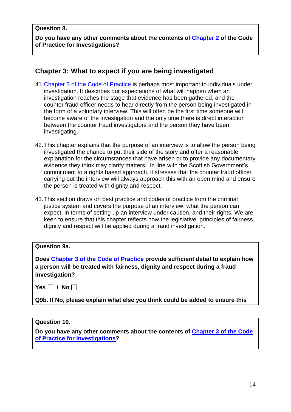#### **Question 8.**

**Do you have any other comments about the contents of [Chapter 2](#page-30-0) of the Code of Practice for Investigations?** 

## **Chapter 3: What to expect if you are being investigated**

- 41[.Chapter 3 of the Code of Practice](#page-32-0) is perhaps most important to individuals under investigation. It describes our expectations of what will happen when an investigation reaches the stage that evidence has been gathered, and the counter fraud officer needs to hear directly from the person being investigated in the form of a voluntary interview. This will often be the first time someone will become aware of the investigation and the only time there is direct interaction between the counter fraud investigators and the person they have been investigating.
- 42.This chapter explains that the purpose of an interview is to allow the person being investigated the chance to put their side of the story and offer a reasonable explanation for the circumstances that have arisen or to provide any documentary evidence they think may clarify matters. In line with the Scottish Government's commitment to a rights based approach, it stresses that the counter fraud officer carrying out the interview will always approach this with an open mind and ensure the person is treated with dignity and respect.
- 43.This section draws on best practice and codes of practice from the criminal justice system and covers the purpose of an interview, what the person can expect, in terms of setting up an interview under caution, and their rights. We are keen to ensure that this chapter reflects how the legislative principles of fairness, dignity and respect will be applied during a fraud investigation.

| <b>Question 9a.</b>                                                                                                                                                             |
|---------------------------------------------------------------------------------------------------------------------------------------------------------------------------------|
| Does Chapter 3 of the Code of Practice provide sufficient detail to explain how<br>a person will be treated with fairness, dignity and respect during a fraud<br>investigation? |
| Yes $\Box$ / No $\Box$                                                                                                                                                          |
| Q9b. If No, please explain what else you think could be added to ensure this                                                                                                    |

#### **Question 10.**

**Do you have any other comments about the contents of [Chapter 3 of the Code](#page-32-0)  [of Practice for Investigations?](#page-32-0)**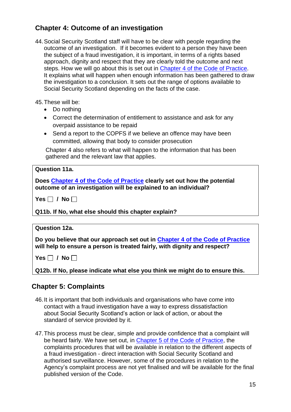## **Chapter 4: Outcome of an investigation**

- 44.Social Security Scotland staff will have to be clear with people regarding the outcome of an investigation. If it becomes evident to a person they have been the subject of a fraud investigation, it is important, in terms of a rights based approach, dignity and respect that they are clearly told the outcome and next steps. How we will go about this is set out in [Chapter 4 of the Code of Practice.](#page-35-0) It explains what will happen when enough information has been gathered to draw the investigation to a conclusion. It sets out the range of options available to Social Security Scotland depending on the facts of the case.
- 45.These will be:
	- Do nothing
	- Correct the determination of entitlement to assistance and ask for any overpaid assistance to be repaid
	- Send a report to the COPFS if we believe an offence may have been committed, allowing that body to consider prosecution

Chapter 4 also refers to what will happen to the information that has been gathered and the relevant law that applies.

### **Question 11a.**

**Does [Chapter 4 of the Code of Practice](#page-35-0) clearly set out how the potential outcome of an investigation will be explained to an individual?**

 $Yes \Box / No \Box$ 

**Q11b. If No, what else should this chapter explain?**

### **Question 12a.**

**Do you believe that our approach set out in [Chapter 4 of the Code of Practice](#page-35-0) will help to ensure a person is treated fairly, with dignity and respect?**

 $Yes \Box / No \Box$ 

**Q12b. If No, please indicate what else you think we might do to ensure this.** 

## **Chapter 5: Complaints**

- 46.It is important that both individuals and organisations who have come into contact with a fraud investigation have a way to express dissatisfaction about Social Security Scotland's action or lack of action, or about the standard of service provided by it.
- 47.This process must be clear, simple and provide confidence that a complaint will be heard fairly. We have set out, in [Chapter 5 of the Code of Practice,](#page-37-0) the complaints procedures that will be available in relation to the different aspects of a fraud investigation - direct interaction with Social Security Scotland and authorised surveillance. However, some of the procedures in relation to the Agency's complaint process are not yet finalised and will be available for the final published version of the Code.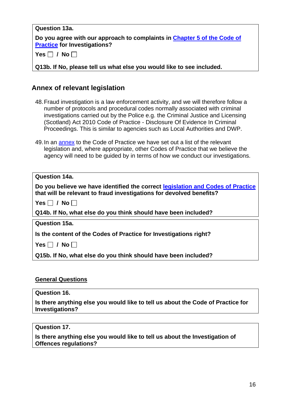## **Question 13a. Do you agree with our approach to complaints in [Chapter 5 of the Code of](#page-37-0)  [Practice](#page-37-0) for Investigations?**   $Yes  $\square$  / No  $\square$$

**Q13b. If No, please tell us what else you would like to see included.** 

## **Annex of relevant legislation**

- 48.Fraud investigation is a law enforcement activity, and we will therefore follow a number of protocols and procedural codes normally associated with criminal investigations carried out by the Police e.g. the Criminal Justice and Licensing (Scotland) Act 2010 Code of Practice - Disclosure Of Evidence In Criminal Proceedings. This is similar to agencies such as Local Authorities and DWP.
- 49.In an [annex](#page-38-0) to the Code of Practice we have set out a list of the relevant legislation and, where appropriate, other Codes of Practice that we believe the agency will need to be guided by in terms of how we conduct our investigations.

| Question 14a.                                                                   |
|---------------------------------------------------------------------------------|
| Do you believe we have identified the correct legislation and Codes of Practice |
| that will be relevant to fraud investigations for devolved benefits?            |
| Yes $\Box$ / No $\Box$                                                          |
| Q14b. If No, what else do you think should have been included?                  |
| <b>Question 15a.</b>                                                            |
| Is the content of the Codes of Practice for Investigations right?               |
| Yes $\Box$ / No $\Box$                                                          |
|                                                                                 |

**Q15b. If No, what else do you think should have been included?**

### **General Questions**

**Question 16.**

**Is there anything else you would like to tell us about the Code of Practice for Investigations?** 

#### **Question 17.**

**Is there anything else you would like to tell us about the Investigation of Offences regulations?**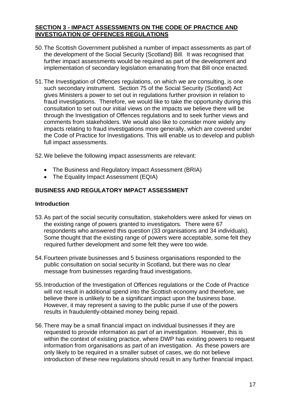#### **SECTION 3 - IMPACT ASSESSMENTS ON THE CODE OF PRACTICE AND INVESTIGATION OF OFFENCES REGULATIONS**

- 50.The Scottish Government published a number of impact assessments as part of the development of the Social Security (Scotland) Bill. It was recognised that further impact assessments would be required as part of the development and implementation of secondary legislation emanating from that Bill once enacted.
- 51.The Investigation of Offences regulations, on which we are consulting, is one such secondary instrument. Section 75 of the Social Security (Scotland) Act gives Ministers a power to set out in regulations further provision in relation to fraud investigations. Therefore, we would like to take the opportunity during this consultation to set out our initial views on the impacts we believe there will be through the Investigation of Offences regulations and to seek further views and comments from stakeholders. We would also like to consider more widely any impacts relating to fraud investigations more generally, which are covered under the Code of Practice for Investigations. This will enable us to develop and publish full impact assessments.

52.We believe the following impact assessments are relevant:

- The Business and Regulatory Impact Assessment (BRIA)
- The Equality Impact Assessment (EQIA)

## **BUSINESS AND REGULATORY IMPACT ASSESSMENT**

### **Introduction**

- 53.As part of the social security consultation, stakeholders were asked for views on the existing range of powers granted to investigators. There were 67 respondents who answered this question (33 organisations and 34 individuals). Some thought that the existing range of powers were acceptable, some felt they required further development and some felt they were too wide.
- 54.Fourteen private businesses and 5 business organisations responded to the public consultation on social security in Scotland, but there was no clear message from businesses regarding fraud investigations.
- 55.Introduction of the Investigation of Offences regulations or the Code of Practice will not result in additional spend into the Scottish economy and therefore, we believe there is unlikely to be a significant impact upon the business base. However, it may represent a saving to the public purse if use of the powers results in fraudulently-obtained money being repaid.
- 56.There may be a small financial impact on individual businesses if they are requested to provide information as part of an investigation. However, this is within the context of existing practice, where DWP has existing powers to request information from organisations as part of an investigation. As these powers are only likely to be required in a smaller subset of cases, we do not believe introduction of these new regulations should result in any further financial impact.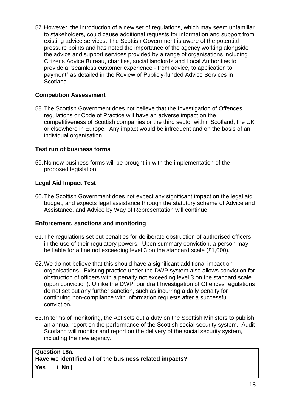57.However, the introduction of a new set of regulations, which may seem unfamiliar to stakeholders, could cause additional requests for information and support from existing advice services. The Scottish Government is aware of the potential pressure points and has noted the importance of the agency working alongside the advice and support services provided by a range of organisations including Citizens Advice Bureau, charities, social landlords and Local Authorities to provide a "seamless customer experience - from advice, to application to payment" as detailed in the Review of Publicly-funded Advice Services in Scotland.

#### **Competition Assessment**

58.The Scottish Government does not believe that the Investigation of Offences regulations or Code of Practice will have an adverse impact on the competitiveness of Scottish companies or the third sector within Scotland, the UK or elsewhere in Europe. Any impact would be infrequent and on the basis of an individual organisation.

### **Test run of business forms**

59.No new business forms will be brought in with the implementation of the proposed legislation.

#### **Legal Aid Impact Test**

60.The Scottish Government does not expect any significant impact on the legal aid budget, and expects legal assistance through the statutory scheme of Advice and Assistance, and Advice by Way of Representation will continue.

#### **Enforcement, sanctions and monitoring**

- 61.The regulations set out penalties for deliberate obstruction of authorised officers in the use of their regulatory powers. Upon summary conviction, a person may be liable for a fine not exceeding level 3 on the standard scale (£1,000).
- 62.We do not believe that this should have a significant additional impact on organisations. Existing practice under the DWP system also allows conviction for obstruction of officers with a penalty not exceeding level 3 on the standard scale (upon conviction). Unlike the DWP, our draft Investigation of Offences regulations do not set out any further sanction, such as incurring a daily penalty for continuing non-compliance with information requests after a successful conviction.
- 63.In terms of monitoring, the Act sets out a duty on the Scottish Ministers to publish an annual report on the performance of the Scottish social security system. Audit Scotland will monitor and report on the delivery of the social security system, including the new agency.

#### **Question 18a. Have we identified all of the business related impacts?**  $Yes \Box / No \Box$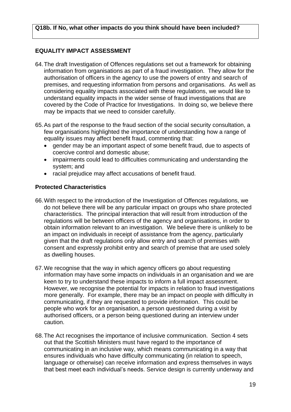#### **EQUALITY IMPACT ASSESSMENT**

- 64.The draft Investigation of Offences regulations set out a framework for obtaining information from organisations as part of a fraud investigation. They allow for the authorisation of officers in the agency to use the powers of entry and search of premises, and requesting information from persons and organisations. As well as considering equality impacts associated with these regulations, we would like to understand equality impacts in the wider sense of fraud investigations that are covered by the Code of Practice for Investigations. In doing so, we believe there may be impacts that we need to consider carefully.
- 65.As part of the response to the fraud section of the social security consultation, a few organisations highlighted the importance of understanding how a range of equality issues may affect benefit fraud, commenting that:
	- gender may be an important aspect of some benefit fraud, due to aspects of coercive control and domestic abuse;
	- impairments could lead to difficulties communicating and understanding the system; and
	- racial prejudice may affect accusations of benefit fraud.

#### **Protected Characteristics**

- 66.With respect to the introduction of the Investigation of Offences regulations, we do not believe there will be any particular impact on groups who share protected characteristics. The principal interaction that will result from introduction of the regulations will be between officers of the agency and organisations, in order to obtain information relevant to an investigation. We believe there is unlikely to be an impact on individuals in receipt of assistance from the agency, particularly given that the draft regulations only allow entry and search of premises with consent and expressly prohibit entry and search of premise that are used solely as dwelling houses.
- 67.We recognise that the way in which agency officers go about requesting information may have some impacts on individuals in an organisation and we are keen to try to understand these impacts to inform a full impact assessment. However, we recognise the potential for impacts in relation to fraud investigations more generally. For example, there may be an impact on people with difficulty in communicating, if they are requested to provide information. This could be people who work for an organisation, a person questioned during a visit by authorised officers, or a person being questioned during an interview under caution.
- 68.The Act recognises the importance of inclusive communication. Section 4 sets out that the Scottish Ministers must have regard to the importance of communicating in an inclusive way, which means communicating in a way that ensures individuals who have difficulty communicating (in relation to speech, language or otherwise) can receive information and express themselves in ways that best meet each individual's needs. Service design is currently underway and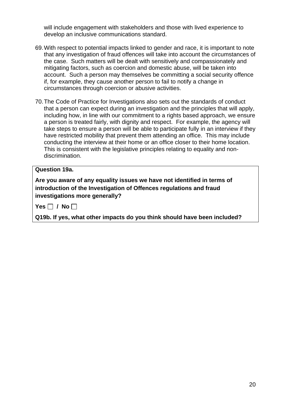will include engagement with stakeholders and those with lived experience to develop an inclusive communications standard.

- 69.With respect to potential impacts linked to gender and race, it is important to note that any investigation of fraud offences will take into account the circumstances of the case. Such matters will be dealt with sensitively and compassionately and mitigating factors, such as coercion and domestic abuse, will be taken into account. Such a person may themselves be committing a social security offence if, for example, they cause another person to fail to notify a change in circumstances through coercion or abusive activities.
- 70.The Code of Practice for Investigations also sets out the standards of conduct that a person can expect during an investigation and the principles that will apply, including how, in line with our commitment to a rights based approach, we ensure a person is treated fairly, with dignity and respect. For example, the agency will take steps to ensure a person will be able to participate fully in an interview if they have restricted mobility that prevent them attending an office. This may include conducting the interview at their home or an office closer to their home location. This is consistent with the legislative principles relating to equality and nondiscrimination.

#### **Question 19a.**

**Are you aware of any equality issues we have not identified in terms of introduction of the Investigation of Offences regulations and fraud investigations more generally?**

 $Yes \Box / No \Box$ 

**Q19b. If yes, what other impacts do you think should have been included?**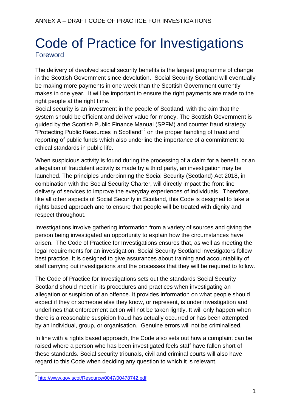## Code of Practice for Investigations **Foreword**

The delivery of devolved social security benefits is the largest programme of change in the Scottish Government since devolution. Social Security Scotland will eventually be making more payments in one week than the Scottish Government currently makes in one year. It will be important to ensure the right payments are made to the right people at the right time.

Social security is an investment in the people of Scotland, with the aim that the system should be efficient and deliver value for money. The Scottish Government is guided by the Scottish Public Finance Manual (SPFM) and counter fraud strategy "Protecting Public Resources in Scotland"<sup>2</sup> on the proper handling of fraud and reporting of public funds which also underline the importance of a commitment to ethical standards in public life.

When suspicious activity is found during the processing of a claim for a benefit, or an allegation of fraudulent activity is made by a third party, an investigation may be launched. The principles underpinning the Social Security (Scotland) Act 2018, in combination with the Social Security Charter, will directly impact the front line delivery of services to improve the everyday experiences of individuals. Therefore, like all other aspects of Social Security in Scotland, this Code is designed to take a rights based approach and to ensure that people will be treated with dignity and respect throughout.

Investigations involve gathering information from a variety of sources and giving the person being investigated an opportunity to explain how the circumstances have arisen. The Code of Practice for Investigations ensures that, as well as meeting the legal requirements for an investigation, Social Security Scotland investigators follow best practice. It is designed to give assurances about training and accountability of staff carrying out investigations and the processes that they will be required to follow.

The Code of Practice for Investigations sets out the standards Social Security Scotland should meet in its procedures and practices when investigating an allegation or suspicion of an offence. It provides information on what people should expect if they or someone else they know, or represent, is under investigation and underlines that enforcement action will not be taken lightly. It will only happen when there is a reasonable suspicion fraud has actually occurred or has been attempted by an individual, group, or organisation. Genuine errors will not be criminalised.

In line with a rights based approach, the Code also sets out how a complaint can be raised where a person who has been investigated feels staff have fallen short of these standards. Social security tribunals, civil and criminal courts will also have regard to this Code when deciding any question to which it is relevant.

1

<sup>2</sup> <http://www.gov.scot/Resource/0047/00478742.pdf>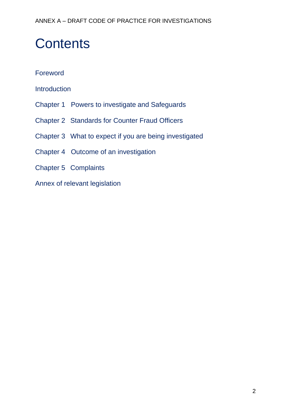# **Contents**

## Foreword

Introduction

- Chapter 1 Powers to investigate and Safeguards
- Chapter 2 Standards for Counter Fraud Officers
- Chapter 3 What to expect if you are being investigated
- Chapter 4 Outcome of an investigation
- Chapter 5 Complaints
- Annex of relevant legislation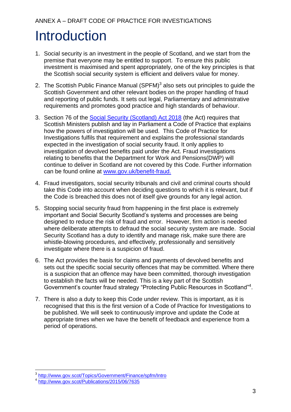# **Introduction**

- 1. Social security is an investment in the people of Scotland, and we start from the premise that everyone may be entitled to support. To ensure this public investment is maximised and spent appropriately, one of the key principles is that the Scottish social security system is efficient and delivers value for money.
- 2. The Scottish Public Finance Manual (SPFM) $3$  also sets out principles to guide the Scottish Government and other relevant bodies on the proper handling of fraud and reporting of public funds. It sets out legal, Parliamentary and administrative requirements and promotes good practice and high standards of behaviour.
- 3. Section 76 of the [Social Security \(Scotland\) Act 2018](http://www.legislation.gov.uk/asp/2018/9/pdfs/asp_20180009_en.pdf) (the Act) requires that Scottish Ministers publish and lay in Parliament a Code of Practice that explains how the powers of investigation will be used. This Code of Practice for Investigations fulfils that requirement and explains the professional standards expected in the investigation of social security fraud. It only applies to investigation of devolved benefits paid under the Act. Fraud investigations relating to benefits that the Department for Work and Pensions(DWP) will continue to deliver in Scotland are not covered by this Code. Further information can be found online at [www.gov.uk/benefit-fraud.](https://www.gov.uk/benefit-fraud)
- 4. Fraud investigators, social security tribunals and civil and criminal courts should take this Code into account when deciding questions to which it is relevant, but if the Code is breached this does not of itself give grounds for any legal action.
- 5. Stopping social security fraud from happening in the first place is extremely important and Social Security Scotland's systems and processes are being designed to reduce the risk of fraud and error. However, firm action is needed where deliberate attempts to defraud the social security system are made. Social Security Scotland has a duty to identify and manage risk, make sure there are whistle-blowing procedures, and effectively, professionally and sensitively investigate where there is a suspicion of fraud.
- 6. The [Act](http://www.legislation.gov.uk/asp/2018/9/pdfs/asp_20180009_en.pdf) provides the basis for claims and payments of devolved benefits and sets out the specific social security offences that may be committed. Where there is a suspicion that an offence may have been committed, thorough investigation to establish the facts will be needed. This is a key part of the Scottish Government's counter fraud strategy "Protecting Public Resources in Scotland"<sup>4</sup>.
- 7. There is also a duty to keep this Code under review. This is important, as it is recognised that this is the first version of a Code of Practice for Investigations to be published. We will seek to continuously improve and update the Code at appropriate times when we have the benefit of feedback and experience from a period of operations.

 3 <http://www.gov.scot/Topics/Government/Finance/spfm/Intro>

<sup>&</sup>lt;sup>4</sup> <http://www.gov.scot/Publications/2015/06/7635>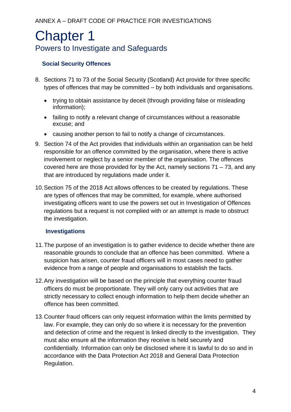## <span id="page-24-0"></span>Chapter 1 Powers to Investigate and Safeguards

## **Social Security Offences**

- 8. Sections 71 to 73 of the Social Security (Scotland) Act provide for three specific types of offences that may be committed – by both individuals and organisations.
	- trying to obtain assistance by deceit (through providing false or misleading information);
	- failing to notify a relevant change of circumstances without a reasonable excuse; and
	- causing another person to fail to notify a change of circumstances.
- 9. Section 74 of the Act provides that individuals within an organisation can be held responsible for an offence committed by the organisation, where there is active involvement or neglect by a senior member of the organisation. The offences covered here are those provided for by the Act, namely sections 71 – 73, and any that are introduced by regulations made under it.
- 10.Section 75 of the 2018 Act allows offences to be created by regulations. These are types of offences that may be committed, for example, where authorised investigating officers want to use the powers set out in Investigation of Offences regulations but a request is not complied with or an attempt is made to obstruct the investigation.

## **Investigations**

- 11.The purpose of an investigation is to gather evidence to decide whether there are reasonable grounds to conclude that an offence has been committed. Where a suspicion has arisen, counter fraud officers will in most cases need to gather evidence from a range of people and organisations to establish the facts.
- 12.Any investigation will be based on the principle that everything counter fraud officers do must be proportionate. They will only carry out activities that are strictly necessary to collect enough information to help them decide whether an offence has been committed.
- 13.Counter fraud officers can only request information within the limits permitted by law. For example, they can only do so where it is necessary for the prevention and detection of crime and the request is linked directly to the investigation. They must also ensure all the information they receive is held securely and confidentially. Information can only be disclosed where it is lawful to do so and in accordance with the Data Protection Act 2018 and General Data Protection Regulation.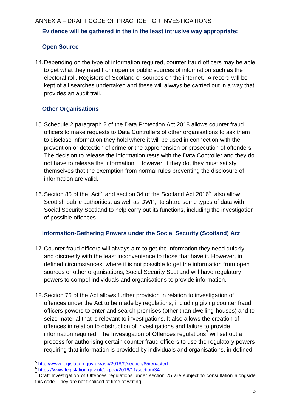## ANNEX A – DRAFT CODE OF PRACTICE FOR INVESTIGATIONS **Evidence will be gathered in the in the least intrusive way appropriate:**

## **Open Source**

14.Depending on the type of information required, counter fraud officers may be able to get what they need from open or public sources of information such as the electoral roll, Registers of Scotland or sources on the internet. A record will be kept of all searches undertaken and these will always be carried out in a way that provides an audit trail.

## **Other Organisations**

- 15.Schedule 2 paragraph 2 of the Data Protection Act 2018 allows counter fraud officers to make requests to Data Controllers of other organisations to ask them to disclose information they hold where it will be used in connection with the prevention or detection of crime or the apprehension or prosecution of offenders. The decision to release the information rests with the Data Controller and they do not have to release the information. However, if they do, they must satisfy themselves that the exemption from normal rules preventing the disclosure of information are valid.
- 16. Section 85 of the  $Act^5$  and section 34 of the Scotland Act 2016 $^6$  also allow Scottish public authorities, as well as DWP, to share some types of data with Social Security Scotland to help carry out its functions, including the investigation of possible offences.

### **Information-Gathering Powers under the Social Security (Scotland) Act**

- 17.Counter fraud officers will always aim to get the information they need quickly and discreetly with the least inconvenience to those that have it. However, in defined circumstances, where it is not possible to get the information from open sources or other organisations, Social Security Scotland will have regulatory powers to compel individuals and organisations to provide information.
- 18.Section 75 of the Act allows further provision in relation to investigation of offences under the Act to be made by regulations, including giving counter fraud officers powers to enter and search premises (other than dwelling-houses) and to seize material that is relevant to investigations. It also allows the creation of offences in relation to obstruction of investigations and failure to provide information required. The Investigation of Offences regulations<sup>7</sup> will set out a process for authorising certain counter fraud officers to use the regulatory powers requiring that information is provided by individuals and organisations, in defined

<span id="page-25-0"></span><sup>1</sup> 5 <http://www.legislation.gov.uk/asp/2018/9/section/85/enacted>

<sup>6</sup> <https://www.legislation.gov.uk/ukpga/2016/11/section/34>

<sup>&</sup>lt;sup>7</sup> Draft Investigation of Offences regulations under section 75 are subject to consultation alongside this code. They are not finalised at time of writing.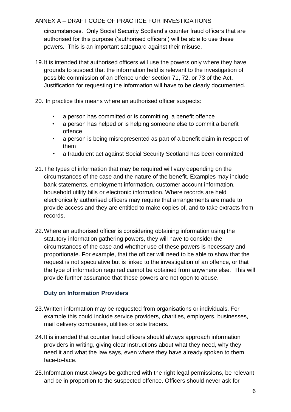circumstances. Only Social Security Scotland's counter fraud officers that are authorised for this purpose ('authorised officers') will be able to use these powers. This is an important safeguard against their misuse.

- 19.It is intended that authorised officers will use the powers only where they have grounds to suspect that the information held is relevant to the investigation of possible commission of an offence under section 71, 72, or 73 of the Act. Justification for requesting the information will have to be clearly documented.
- 20. In practice this means where an authorised officer suspects:
	- a person has committed or is committing, a benefit offence
	- a person has helped or is helping someone else to commit a benefit offence
	- a person is being misrepresented as part of a benefit claim in respect of them
	- a fraudulent act against Social Security Scotland has been committed
- 21.The types of information that may be required will vary depending on the circumstances of the case and the nature of the benefit. Examples may include bank statements, employment information, customer account information, household utility bills or electronic information. Where records are held electronically authorised officers may require that arrangements are made to provide access and they are entitled to make copies of, and to take extracts from records.
- 22.Where an authorised officer is considering obtaining information using the statutory information gathering powers, they will have to consider the circumstances of the case and whether use of these powers is necessary and proportionate. For example, that the officer will need to be able to show that the request is not speculative but is linked to the investigation of an offence, or that the type of information required cannot be obtained from anywhere else. This will provide further assurance that these powers are not open to abuse.

## **Duty on Information Providers**

- 23.Written information may be requested from organisations or individuals. For example this could include service providers, charities, employers, businesses, mail delivery companies, utilities or sole traders.
- 24.It is intended that counter fraud officers should always approach information providers in writing, giving clear instructions about what they need, why they need it and what the law says, even where they have already spoken to them face-to-face.
- 25.Information must always be gathered with the right legal permissions, be relevant and be in proportion to the suspected offence. Officers should never ask for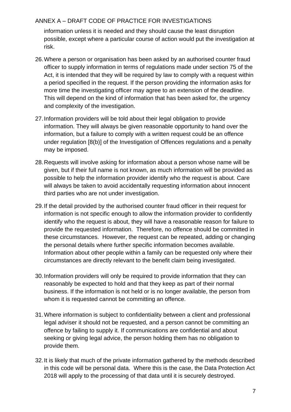information unless it is needed and they should cause the least disruption possible, except where a particular course of action would put the investigation at risk.

- 26.Where a person or organisation has been asked by an authorised counter fraud officer to supply information in terms of regulations made under section 75 of the Act, it is intended that they will be required by law to comply with a request within a period specified in the request. If the person providing the information asks for more time the investigating officer may agree to an extension of the deadline. This will depend on the kind of information that has been asked for, the urgency and complexity of the investigation.
- 27.Information providers will be told about their legal obligation to provide information. They will always be given reasonable opportunity to hand over the information, but a failure to comply with a written request could be an offence under regulation [8(b)] of the Investigation of Offences regulations and a penalty may be imposed.
- 28.Requests will involve asking for information about a person whose name will be given, but if their full name is not known, as much information will be provided as possible to help the information provider identify who the request is about. Care will always be taken to avoid accidentally requesting information about innocent third parties who are not under investigation.
- 29.If the detail provided by the authorised counter fraud officer in their request for information is not specific enough to allow the information provider to confidently identify who the request is about, they will have a reasonable reason for failure to provide the requested information. Therefore, no offence should be committed in these circumstances. However, the request can be repeated, adding or changing the personal details where further specific information becomes available. Information about other people within a family can be requested only where their circumstances are directly relevant to the benefit claim being investigated.
- 30.Information providers will only be required to provide information that they can reasonably be expected to hold and that they keep as part of their normal business. If the information is not held or is no longer available, the person from whom it is requested cannot be committing an offence.
- 31.Where information is subject to confidentiality between a client and professional legal adviser it should not be requested, and a person cannot be committing an offence by failing to supply it. If communications are confidential and about seeking or giving legal advice, the person holding them has no obligation to provide them.
- 32.It is likely that much of the private information gathered by the methods described in this code will be personal data. Where this is the case, the Data Protection Act 2018 will apply to the processing of that data until it is securely destroyed.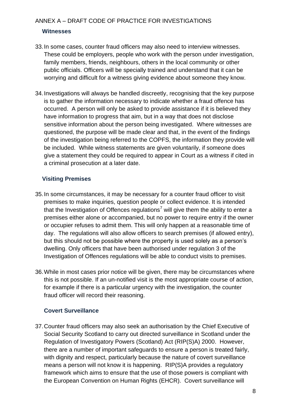#### **Witnesses**

- 33.In some cases, counter fraud officers may also need to interview witnesses. These could be employers, people who work with the person under investigation, family members, friends, neighbours, others in the local community or other public officials. Officers will be specially trained and understand that it can be worrying and difficult for a witness giving evidence about someone they know.
- 34.Investigations will always be handled discreetly, recognising that the key purpose is to gather the information necessary to indicate whether a fraud offence has occurred. A person will only be asked to provide assistance if it is believed they have information to progress that aim, but in a way that does not disclose sensitive information about the person being investigated. Where witnesses are questioned, the purpose will be made clear and that, in the event of the findings of the investigation being referred to the COPFS, the information they provide will be included. While witness statements are given voluntarily, if someone does give a statement they could be required to appear in Court as a witness if cited in a criminal prosecution at a later date.

### **Visiting Premises**

- 35.In some circumstances, it may be necessary for a counter fraud officer to visit premises to make inquiries, question people or collect evidence. It is intended that the Investigation of Offences regulations<sup>[7](#page-25-0)</sup> will give them the ability to enter a premises either alone or accompanied, but no power to require entry if the owner or occupier refuses to admit them. This will only happen at a reasonable time of day. The regulations will also allow officers to search premises (if allowed entry), but this should not be possible where the property is used solely as a person's dwelling. Only officers that have been authorised under regulation 3 of the Investigation of Offences regulations will be able to conduct visits to premises.
- 36.While in most cases prior notice will be given, there may be circumstances where this is not possible. If an un-notified visit is the most appropriate course of action, for example if there is a particular urgency with the investigation, the counter fraud officer will record their reasoning.

### **Covert Surveillance**

37.Counter fraud officers may also seek an authorisation by the Chief Executive of Social Security Scotland to carry out directed surveillance in Scotland under the Regulation of Investigatory Powers (Scotland) Act (RIP(S)A) 2000. However, there are a number of important safeguards to ensure a person is treated fairly, with dignity and respect, particularly because the nature of covert surveillance means a person will not know it is happening. RIP(S)A provides a regulatory framework which aims to ensure that the use of those powers is compliant with the European Convention on Human Rights (EHCR). Covert surveillance will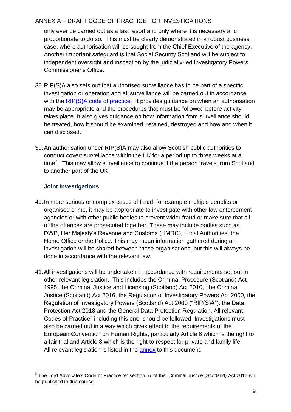only ever be carried out as a last resort and only where it is necessary and proportionate to do so. This must be clearly demonstrated in a robust business case, where authorisation will be sought from the Chief Executive of the agency. Another important safeguard is that Social Security Scotland will be subject to independent oversight and inspection by the judicially-led Investigatory Powers Commissioner's Office.

- 38.RIP(S)A also sets out that authorised surveillance has to be part of a specific investigation or operation and all surveillance will be carried out in accordance with the [RIP\(S\)A code of practice.](https://beta.gov.scot/publications/covert-surveillance-property-interference-code-practice/?inline=true) It provides guidance on when an authorisation may be appropriate and the procedures that must be followed before activity takes place. It also gives guidance on how information from surveillance should be treated, how it should be examined, retained, destroyed and how and when it can disclosed.
- 39.An authorisation under RIP(S)A may also allow Scottish public authorities to conduct covert surveillance within the UK for a period up to three weeks at a time<sup>7</sup>. This may allow surveillance to continue if the person travels from Scotland to another part of the UK.

## **Joint Investigations**

- 40.In more serious or complex cases of fraud, for example multiple benefits or organised crime, it may be appropriate to investigate with other law enforcement agencies or with other public bodies to prevent wider fraud or make sure that all of the offences are prosecuted together. These may include bodies such as DWP, Her Majesty's Revenue and Customs (HMRC), Local Authorities, the Home Office or the Police. This may mean information gathered during an investigation will be shared between these organisations, but this will always be done in accordance with the relevant law.
- 41.All investigations will be undertaken in accordance with requirements set out in other relevant legislation. This includes the Criminal Procedure (Scotland) Act 1995, the Criminal Justice and Licensing (Scotland) Act 2010, the Criminal Justice (Scotland) Act 2016, the Regulation of Investigatory Powers Act 2000, the Regulation of Investigatory Powers (Scotland) Act 2000 ("RIP(S)A"), the Data Protection Act 2018 and the General Data Protection Regulation. All relevant Codes of Practice<sup>8</sup> including this one, should be followed. Investigations must also be carried out in a way which gives effect to the requirements of the European Convention on Human Rights, particularly Article 6 which is the right to a fair trial and Article 8 which is the right to respect for private and family life. All relevant legislation is listed in the [annex](#page-38-0) to this document.

<sup>1</sup> <sup>8</sup> The Lord Advocate's Code of Practice re: section 57 of the Criminal Justice (Scotland) Act 2016 will be published in due course.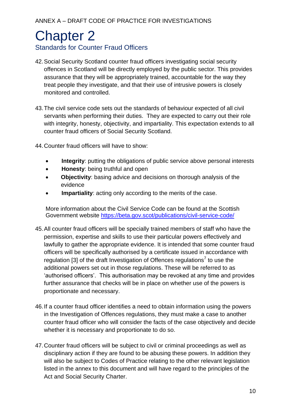## <span id="page-30-0"></span>Chapter 2 Standards for Counter Fraud Officers

- 42.Social Security Scotland counter fraud officers investigating social security offences in Scotland will be directly employed by the public sector. This provides assurance that they will be appropriately trained, accountable for the way they treat people they investigate, and that their use of intrusive powers is closely monitored and controlled.
- 43.The civil service code sets out the standards of behaviour expected of all civil servants when performing their duties. They are expected to carry out their role with integrity, honesty, objectivity, and impartiality. This expectation extends to all counter fraud officers of Social Security Scotland.
- 44.Counter fraud officers will have to show:
	- **Integrity**: putting the obligations of public service above personal interests
	- **Honesty**: being truthful and open
	- **Objectivity**: basing advice and decisions on thorough analysis of the evidence
	- **Impartiality**: acting only according to the merits of the case.

More information about the Civil Service Code can be found at the Scottish Government website<https://beta.gov.scot/publications/civil-service-code/>

- 45.All counter fraud officers will be specially trained members of staff who have the permission, expertise and skills to use their particular powers effectively and lawfully to gather the appropriate evidence. It is intended that some counter fraud officers will be specifically authorised by a certificate issued in accordance with regulation [3] of the draft Investigation of Offences regulations<sup>[7](#page-25-0)</sup> to use the additional powers set out in those regulations. These will be referred to as 'authorised officers'. This authorisation may be revoked at any time and provides further assurance that checks will be in place on whether use of the powers is proportionate and necessary.
- 46.If a counter fraud officer identifies a need to obtain information using the powers in the Investigation of Offences regulations, they must make a case to another counter fraud officer who will consider the facts of the case objectively and decide whether it is necessary and proportionate to do so.
- 47.Counter fraud officers will be subject to civil or criminal proceedings as well as disciplinary action if they are found to be abusing these powers. In addition they will also be subject to Codes of Practice relating to the other relevant legislation listed in the annex to this document and will have regard to the principles of the Act and Social Security Charter.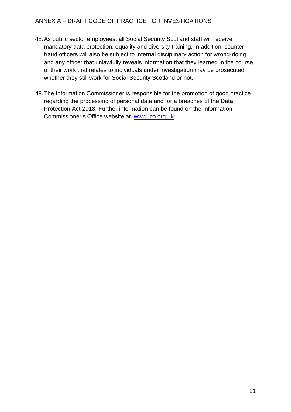- 48.As public sector employees, all Social Security Scotland staff will receive mandatory data protection, equality and diversity training. In addition, counter fraud officers will also be subject to internal disciplinary action for wrong-doing and any officer that unlawfully reveals information that they learned in the course of their work that relates to individuals under investigation may be prosecuted, whether they still work for Social Security Scotland or not.
- 49.The Information Commissioner is responsible for the promotion of good practice regarding the processing of personal data and for a breaches of the Data Protection Act 2018. Further information can be found on the Information Commissioner's Office website at [www.ico.org.uk.](http://www.ico.org.uk/)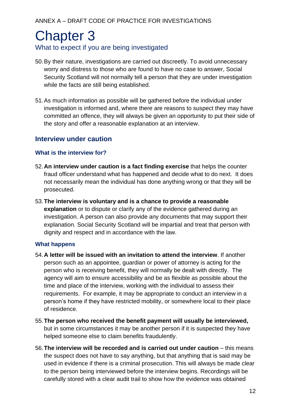## <span id="page-32-0"></span>Chapter 3 What to expect if you are being investigated

- 50.By their nature, investigations are carried out discreetly. To avoid unnecessary worry and distress to those who are found to have no case to answer, Social Security Scotland will not normally tell a person that they are under investigation while the facts are still being established.
- 51.As much information as possible will be gathered before the individual under investigation is informed and, where there are reasons to suspect they may have committed an offence, they will always be given an opportunity to put their side of the story and offer a reasonable explanation at an interview.

## **Interview under caution**

## **What is the interview for?**

- 52.**An interview under caution is a fact finding exercise** that helps the counter fraud officer understand what has happened and decide what to do next. It does not necessarily mean the individual has done anything wrong or that they will be prosecuted.
- 53.**The interview is voluntary and is a chance to provide a reasonable explanation** or to dispute or clarify any of the evidence gathered during an investigation. A person can also provide any documents that may support their explanation. Social Security Scotland will be impartial and treat that person with dignity and respect and in accordance with the law.

### **What happens**

- 54.**A letter will be issued with an invitation to attend the interview**. If another person such as an appointee, guardian or power of attorney is acting for the person who is receiving benefit, they will normally be dealt with directly. The agency will aim to ensure accessibility and be as flexible as possible about the time and place of the interview, working with the individual to assess their requirements. For example, it may be appropriate to conduct an interview in a person's home if they have restricted mobility, or somewhere local to their place of residence.
- 55.**The person who received the benefit payment will usually be interviewed,**  but in some circumstances it may be another person if it is suspected they have helped someone else to claim benefits fraudulently.
- 56.**The interview will be recorded and is carried out under caution** this means the suspect does not have to say anything, but that anything that is said may be used in evidence if there is a criminal prosecution. This will always be made clear to the person being interviewed before the interview begins. Recordings will be carefully stored with a clear audit trail to show how the evidence was obtained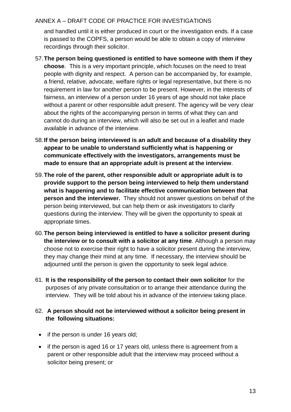and handled until it is either produced in court or the investigation ends. If a case is passed to the COPFS, a person would be able to obtain a copy of interview recordings through their solicitor.

- 57.**The person being questioned is entitled to have someone with them if they choose**. This is a very important principle, which focuses on the need to treat people with dignity and respect. A person can be accompanied by, for example, a friend, relative, advocate, welfare rights or legal representative, but there is no requirement in law for another person to be present. However, in the interests of fairness, an interview of a person under 16 years of age should not take place without a parent or other responsible adult present. The agency will be very clear about the rights of the accompanying person in terms of what they can and cannot do during an interview, which will also be set out in a leaflet and made available in advance of the interview.
- 58.**If the person being interviewed is an adult and because of a disability they appear to be unable to understand sufficiently what is happening or communicate effectively with the investigators, arrangements must be made to ensure that an appropriate adult is present at the interview**.
- 59.**The role of the parent, other responsible adult or appropriate adult is to provide support to the person being interviewed to help them understand what is happening and to facilitate effective communication between that person and the interviewer.** They should not answer questions on behalf of the person being interviewed, but can help them or ask investigators to clarify questions during the interview. They will be given the opportunity to speak at appropriate times.
- 60.**The person being interviewed is entitled to have a solicitor present during the interview or to consult with a solicitor at any time**. Although a person may choose not to exercise their right to have a solicitor present during the interview, they may change their mind at any time. If necessary, the interview should be adjourned until the person is given the opportunity to seek legal advice.
- 61. **It is the responsibility of the person to contact their own solicitor** for the purposes of any private consultation or to arrange their attendance during the interview. They will be told about his in advance of the interview taking place.

## 62. **A person should not be interviewed without a solicitor being present in the following situations:**

- if the person is under 16 years old;
- if the person is aged 16 or 17 years old, unless there is agreement from a parent or other responsible adult that the interview may proceed without a solicitor being present; or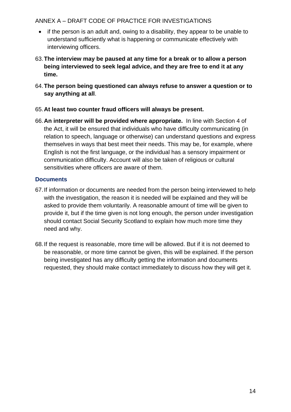- if the person is an adult and, owing to a disability, they appear to be unable to understand sufficiently what is happening or communicate effectively with interviewing officers.
- 63.**The interview may be paused at any time for a break or to allow a person being interviewed to seek legal advice, and they are free to end it at any time.**
- 64.**The person being questioned can always refuse to answer a question or to say anything at all**.

### 65.**At least two counter fraud officers will always be present.**

66.**An interpreter will be provided where appropriate.** In line with Section 4 of the Act, it will be ensured that individuals who have difficulty communicating (in relation to speech, language or otherwise) can understand questions and express themselves in ways that best meet their needs. This may be, for example, where English is not the first language, or the individual has a sensory impairment or communication difficulty. Account will also be taken of religious or cultural sensitivities where officers are aware of them.

### **Documents**

- 67.If information or documents are needed from the person being interviewed to help with the investigation, the reason it is needed will be explained and they will be asked to provide them voluntarily. A reasonable amount of time will be given to provide it, but if the time given is not long enough, the person under investigation should contact Social Security Scotland to explain how much more time they need and why.
- 68.If the request is reasonable, more time will be allowed. But if it is not deemed to be reasonable, or more time cannot be given, this will be explained. If the person being investigated has any difficulty getting the information and documents requested, they should make contact immediately to discuss how they will get it.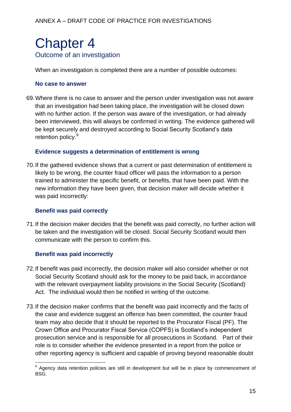## <span id="page-35-0"></span>Chapter 4 Outcome of an investigation

When an investigation is completed there are a number of possible outcomes:

#### **No case to answer**

69.Where there is no case to answer and the person under investigation was not aware that an investigation had been taking place, the investigation will be closed down with no further action. If the person was aware of the investigation, or had already been interviewed, this will always be confirmed in writing. The evidence gathered will be kept securely and destroyed according to Social Security Scotland's data retention policy.<sup>9</sup>

#### <span id="page-35-1"></span>**Evidence suggests a determination of entitlement is wrong**

70.If the gathered evidence shows that a current or past determination of entitlement is likely to be wrong, the counter fraud officer will pass the information to a person trained to administer the specific benefit, or benefits, that have been paid. With the new information they have been given, that decision maker will decide whether it was paid incorrectly:

### **Benefit was paid correctly**

71.If the decision maker decides that the benefit was paid correctly, no further action will be taken and the investigation will be closed. Social Security Scotland would then communicate with the person to confirm this.

### **Benefit was paid incorrectly**

1

- 72.If benefit was paid incorrectly, the decision maker will also consider whether or not Social Security Scotland should ask for the money to be paid back, in accordance with the relevant overpayment liability provisions in the Social Security (Scotland) Act. The individual would then be notified in writing of the outcome.
- 73.If the decision maker confirms that the benefit was paid incorrectly and the facts of the case and evidence suggest an offence has been committed, the counter fraud team may also decide that it should be reported to the Procurator Fiscal (PF). The Crown Office and Procurator Fiscal Service (COPFS) is Scotland's independent prosecution service and is responsible for all prosecutions in Scotland. Part of their role is to consider whether the evidence presented in a report from the police or other reporting agency is sufficient and capable of proving beyond reasonable doubt

<sup>&</sup>lt;sup>9</sup> Agency data retention policies are still in development but will be in place by commencement of BSG.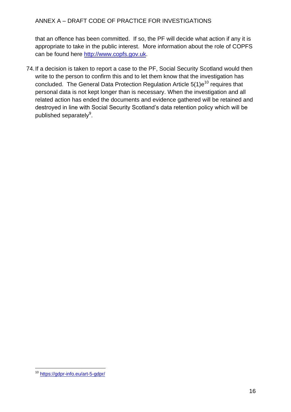that an offence has been committed. If so, the PF will decide what action if any it is appropriate to take in the public interest. More information about the role of COPFS can be found here [http://www.copfs.gov.uk.](http://www.copfs.gov.uk/)

74.If a decision is taken to report a case to the PF, Social Security Scotland would then write to the person to confirm this and to let them know that the investigation has concluded. The General Data Protection Regulation Article  $5(1)e^{10}$  requires that personal data is not kept longer than is necessary. When the investigation and all related action has ended the documents and evidence gathered will be retained and destroyed in line with Social Security Scotland's data retention policy which will be published separately<sup>[9](#page-35-1)</sup>.

<sup>1</sup> <sup>10</sup> <https://gdpr-info.eu/art-5-gdpr/>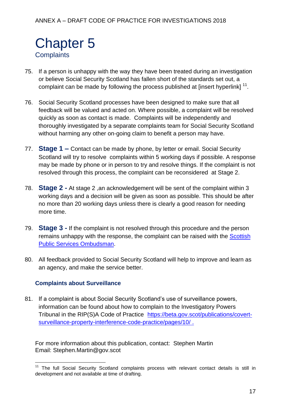## <span id="page-37-0"></span>Chapter 5 **Complaints**

- 75. If a person is unhappy with the way they have been treated during an investigation or believe Social Security Scotland has fallen short of the standards set out, a complaint can be made by following the process published at [insert hyperlink]  $^{11}$ .
- 76. Social Security Scotland processes have been designed to make sure that all feedback will be valued and acted on. Where possible, a complaint will be resolved quickly as soon as contact is made. Complaints will be independently and thoroughly investigated by a separate complaints team for Social Security Scotland without harming any other on-going claim to benefit a person may have.
- 77. **Stage 1 –** Contact can be made by phone, by letter or email. Social Security Scotland will try to resolve complaints within 5 working days if possible. A response may be made by phone or in person to try and resolve things. If the complaint is not resolved through this process, the complaint can be reconsidered at Stage 2.
- 78. **Stage 2 -** At stage 2 ,an acknowledgement will be sent of the complaint within 3 working days and a decision will be given as soon as possible. This should be after no more than 20 working days unless there is clearly a good reason for needing more time.
- 79. **Stage 3 -** If the complaint is not resolved through this procedure and the person remains unhappy with the response, the complaint can be raised with the **Scottish** [Public Services Ombudsman.](https://www.spso.org.uk/our-role)
- 80. All feedback provided to Social Security Scotland will help to improve and learn as an agency, and make the service better.

### **Complaints about Surveillance**

81. If a complaint is about Social Security Scotland's use of surveillance powers, information can be found about how to complain to the Investigatory Powers Tribunal in the RIP(S)A Code of Practice [https://beta.gov.scot/publications/covert](https://beta.gov.scot/publications/covert-surveillance-property-interference-code-practice/pages/10/)[surveillance-property-interference-code-practice/pages/10/](https://beta.gov.scot/publications/covert-surveillance-property-interference-code-practice/pages/10/) .

For more information about this publication, contact: Stephen Martin Email: Stephen.Martin@gov.scot

<sup>1</sup> <sup>11</sup> The full Social Security Scotland complaints process with relevant contact details is still in development and not available at time of drafting.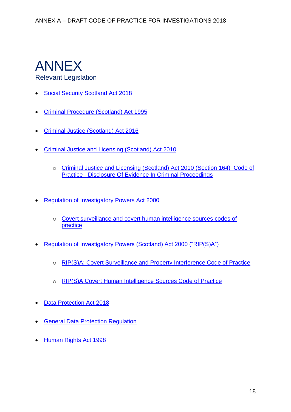# <span id="page-38-0"></span>ANNEX

## Relevant Legislation

- [Social Security Scotland Act 2018](http://www.legislation.gov.uk/asp/2018/9/pdfs/asp_20180009_en.pdf)
- [Criminal Procedure \(Scotland\) Act 1995](http://www.legislation.gov.uk/ukpga/1995/46/contents)
- [Criminal Justice \(Scotland\) Act 2016](http://www.legislation.gov.uk/asp/2016/1/contents/enacted)
- [Criminal Justice and Licensing \(Scotland\) Act 2010](http://www.legislation.gov.uk/asp/2010/13/contents)
	- o [Criminal Justice and Licensing \(Scotland\) Act 2010 \(Section 164\) Code of](http://www.copfs.gov.uk/images/Documents/Prosecution_Policy_Guidance/Guidelines_and_Policy/Code%20of%20Practice%20-%20Disclosure%20of%20Evidence%20in%20Criminal%20Proceedings.pdf)  Practice - [Disclosure Of Evidence In Criminal Proceedings](http://www.copfs.gov.uk/images/Documents/Prosecution_Policy_Guidance/Guidelines_and_Policy/Code%20of%20Practice%20-%20Disclosure%20of%20Evidence%20in%20Criminal%20Proceedings.pdf)
- [Regulation of Investigatory Powers Act 2000](https://www.legislation.gov.uk/ukpga/2000/23/contents)
	- o [Covert surveillance and covert human intelligence sources codes of](https://www.gov.uk/government/publications/covert-surveillance-and-covert-human-intelligence-sources-codes-of-practice)  [practice](https://www.gov.uk/government/publications/covert-surveillance-and-covert-human-intelligence-sources-codes-of-practice)
- [Regulation of Investigatory Powers \(Scotland\) Act 2000 \("RIP\(S\)A"\)](https://www.legislation.gov.uk/asp/2000/11/contents)
	- o [RIP\(S\)A: Covert Surveillance and Property Interference Code of Practice](http://www.gov.scot/Publications/2017/12/5734/downloads)
	- o [RIP\(S\)A Covert Human Intelligence Sources Code of Practice](https://beta.gov.scot/publications/covert-human-intelligence-sources-code-practice/)
- [Data Protection Act 2018](http://www.legislation.gov.uk/ukpga/2018/12/schedule/2/enacted)
- **[General Data Protection Regulation](https://gdpr-info.eu/)**
- [Human Rights Act 1998](https://www.legislation.gov.uk/ukpga/1998/42/contents)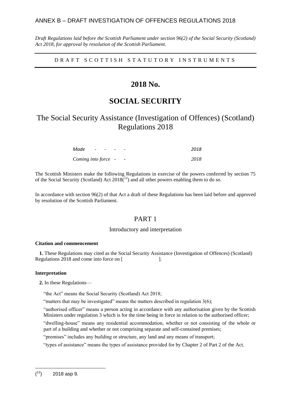*Draft Regulations laid before the Scottish Parliament under section 96(2) of the Social Security (Scotland) Act 2018, for approval by resolution of the Scottish Parliament.*

DRAFT SCOTTISH STATUTORY INSTRUMENTS

## **2018 No.**

## **SOCIAL SECURITY**

## The Social Security Assistance (Investigation of Offences) (Scotland) Regulations 2018

| Made                | the company of the company of the |  | $\qquad \qquad \blacksquare$ | 2018 |
|---------------------|-----------------------------------|--|------------------------------|------|
| Coming into force - |                                   |  | $\overline{\phantom{a}}$     | 2018 |

The Scottish Ministers make the following Regulations in exercise of the powers conferred by section 75 of the Social Security (Scotland) Act  $2018<sup>{12}</sup>$  and all other powers enabling them to do so.

In accordance with section 96(2) of that Act a draft of these Regulations has been laid before and approved by resolution of the Scottish Parliament.

#### PART 1

#### Introductory and interpretation

#### **Citation and commencement**

**1.** These Regulations may cited as the Social Security Assistance (Investigation of Offences) (Scotland) Regulations 2018 and come into force on [ ].

#### **Interpretation**

#### **2.** In these Regulations—

"the Act" means the Social Security (Scotland) Act 2018;

"matters that may be investigated" means the matters described in regulation  $3(6)$ ;

"authorised officer" means a person acting in accordance with any authorisation given by the Scottish Ministers under regulation 3 which is for the time being in force in relation to the authorised officer;

"dwelling-house" means any residential accommodation, whether or not consisting of the whole or part of a building and whether or not comprising separate and self-contained premises;

"premises" includes any building or structure, any land and any means of transport;

"types of assistance" means the types of assistance provided for by Chapter 2 of Part 2 of the Act.

1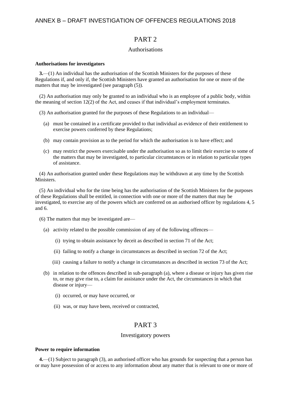#### PART 2

#### Authorisations

#### <span id="page-40-1"></span>**Authorisations for investigators**

**3.**—(1) An individual has the authorisation of the Scottish Ministers for the purposes of these Regulations if, and only if, the Scottish Ministers have granted an authorisation for one or more of the matters that may be investigated (see paragraph (5)).

(2) An authorisation may only be granted to an individual who is an employee of a public body, within the meaning of section 12(2) of the Act, and ceases if that individual's employment terminates.

- (3) An authorisation granted for the purposes of these Regulations to an individual—
	- (a) must be contained in a certificate provided to that individual as evidence of their entitlement to exercise powers conferred by these Regulations;
	- (b) may contain provision as to the period for which the authorisation is to have effect; and
	- (c) may restrict the powers exercisable under the authorisation so as to limit their exercise to some of the matters that may be investigated, to particular circumstances or in relation to particular types of assistance.

(4) An authorisation granted under these Regulations may be withdrawn at any time by the Scottish Ministers.

(5) An individual who for the time being has the authorisation of the Scottish Ministers for the purposes of these Regulations shall be entitled, in connection with one or more of the matters that may be investigated, to exercise any of the powers which are conferred on an authorised officer by regulations 4, 5 and 6.

- (6) The matters that may be investigated are—
	- (a) activity related to the possible commission of any of the following offences—
		- (i) trying to obtain assistance by deceit as described in section 71 of the Act;
		- (ii) failing to notify a change in circumstances as described in section 72 of the Act;
		- (iii) causing a failure to notify a change in circumstances as described in section 73 of the Act;
	- (b) in relation to the offences described in sub-paragraph (a), where a disease or injury has given rise to, or may give rise to, a claim for assistance under the Act, the circumstances in which that disease or injury—
		- (i) occurred, or may have occurred, or
		- (ii) was, or may have been, received or contracted,

#### PART 3

#### Investigatory powers

#### <span id="page-40-0"></span>**Power to require information**

**4.**—(1) Subject to paragraph (3), an authorised officer who has grounds for suspecting that a person has or may have possession of or access to any information about any matter that is relevant to one or more of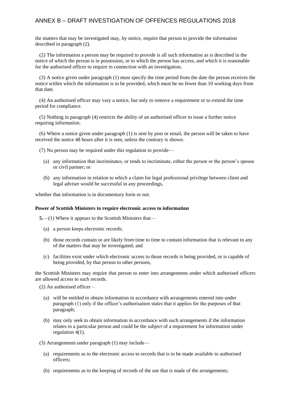the matters that may be investigated may, by notice, require that person to provide the information described in paragraph (2).

(2) The information a person may be required to provide is all such information as is described in the notice of which the person is in possession, or to which the person has access, and which it is reasonable for the authorised officer to require in connection with an investigation.

(3) A notice given under paragraph (1) must specify the time period from the date the person receives the notice within which the information is to be provided, which must be no fewer than 10 working days from that date.

(4) An authorised officer may vary a notice, but only to remove a requirement or to extend the time period for compliance.

(5) Nothing in paragraph (4) restricts the ability of an authorised officer to issue a further notice requiring information.

(6) Where a notice given under paragraph (1) is sent by post or email, the person will be taken to have received the notice 48 hours after it is sent, unless the contrary is shown.

- (7) No person may be required under this regulation to provide—
	- (a) any information that incriminates, or tends to incriminate, either the person or the person's spouse or civil partner; or
	- (b) any information in relation to which a claim for legal professional privilege between client and legal adviser would be successful in any proceedings,

<span id="page-41-0"></span>whether that information is in documentary form or not.

#### **Power of Scottish Ministers to require electronic access to information**

**5.**—(1) Where it appears to the Scottish Ministers that—

- (a) a person keeps electronic records;
- (b) those records contain or are likely from time to time to contain information that is relevant to any of the matters that may be investigated; and
- (c) facilities exist under which electronic access to those records is being provided, or is capable of being provided, by that person to other persons,

the Scottish Ministers may require that person to enter into arrangements under which authorised officers are allowed access to such records.

- (2) An authorised officer
	- (a) will be entitled to obtain information in accordance with arrangements entered into under paragraph (1) only if the officer's authorisation states that it applies for the purposes of that paragraph;
	- (b) may only seek to obtain information in accordance with such arrangements if the information relates to a particular person and could be the subject of a requirement for information under regulation 4(1).
- (3) Arrangements under paragraph (1) may include—
	- (a) requirements as to the electronic access to records that is to be made available to authorised officers;
	- (b) requirements as to the keeping of records of the use that is made of the arrangements;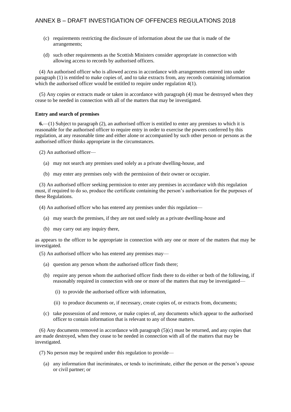- (c) requirements restricting the disclosure of information about the use that is made of the arrangements;
- (d) such other requirements as the Scottish Ministers consider appropriate in connection with allowing access to records by authorised officers.

(4) An authorised officer who is allowed access in accordance with arrangements entered into under paragraph (1) is entitled to make copies of, and to take extracts from, any records containing information which the authorised officer would be entitled to require under regulation  $4(1)$ .

(5) Any copies or extracts made or taken in accordance with paragraph (4) must be destroyed when they cease to be needed in connection with all of the matters that may be investigated.

#### <span id="page-42-0"></span>**Entry and search of premises**

**6.**—(1) Subject to paragraph (2), an authorised officer is entitled to enter any premises to which it is reasonable for the authorised officer to require entry in order to exercise the powers conferred by this regulation, at any reasonable time and either alone or accompanied by such other person or persons as the authorised officer thinks appropriate in the circumstances.

(2) An authorised officer—

- (a) may not search any premises used solely as a private dwelling-house, and
- (b) may enter any premises only with the permission of their owner or occupier.

(3) An authorised officer seeking permission to enter any premises in accordance with this regulation must, if required to do so, produce the certificate containing the person's authorisation for the purposes of these Regulations.

(4) An authorised officer who has entered any premises under this regulation—

- (a) may search the premises, if they are not used solely as a private dwelling-house and
- (b) may carry out any inquiry there,

as appears to the officer to be appropriate in connection with any one or more of the matters that may be investigated.

- (5) An authorised officer who has entered any premises may—
	- (a) question any person whom the authorised officer finds there;
	- (b) require any person whom the authorised officer finds there to do either or both of the following, if reasonably required in connection with one or more of the matters that may be investigated—
		- (i) to provide the authorised officer with information,
		- (ii) to produce documents or, if necessary, create copies of, or extracts from, documents;
	- (c) take possession of and remove, or make copies of, any documents which appear to the authorised officer to contain information that is relevant to any of those matters.

(6) Any documents removed in accordance with paragraph (5)(c) must be returned, and any copies that are made destroyed, when they cease to be needed in connection with all of the matters that may be investigated.

(7) No person may be required under this regulation to provide—

(a) any information that incriminates, or tends to incriminate, either the person or the person's spouse or civil partner; or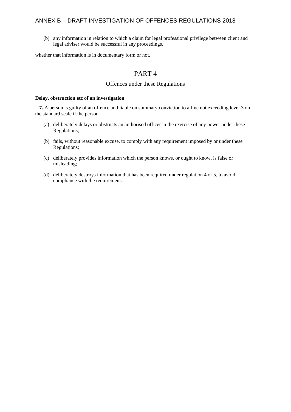(b) any information in relation to which a claim for legal professional privilege between client and legal adviser would be successful in any proceedings,

whether that information is in documentary form or not.

#### PART 4

#### Offences under these Regulations

#### <span id="page-43-0"></span>**Delay, obstruction etc of an investigation**

**7.** A person is guilty of an offence and liable on summary conviction to a fine not exceeding level 3 on the standard scale if the person—

- (a) deliberately delays or obstructs an authorised officer in the exercise of any power under these Regulations;
- (b) fails, without reasonable excuse, to comply with any requirement imposed by or under these Regulations;
- (c) deliberately provides information which the person knows, or ought to know, is false or misleading;
- (d) deliberately destroys information that has been required under regulation 4 or 5, to avoid compliance with the requirement.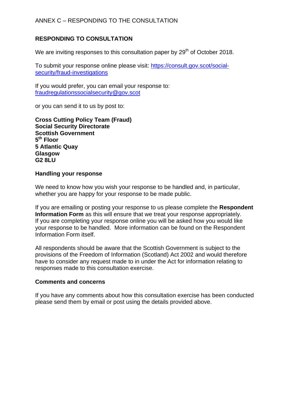## **RESPONDING TO CONSULTATION**

We are inviting responses to this consultation paper by 29<sup>th</sup> of October 2018.

To submit your response online please visit: [https://consult.gov.scot/social](https://consult.gov.scot/social-security/fraud-investigations)[security/fraud-investigations](https://consult.gov.scot/social-security/fraud-investigations)

If you would prefer, you can email your response to: [fraudregulationssocialsecurity@gov.scot](mailto:fraudregulationssocialsecurity@gov.scot)

or you can send it to us by post to:

**Cross Cutting Policy Team (Fraud) Social Security Directorate Scottish Government 5 th Floor 5 Atlantic Quay Glasgow G2 8LU**

#### **Handling your response**

We need to know how you wish your response to be handled and, in particular, whether you are happy for your response to be made public.

If you are emailing or posting your response to us please complete the **Respondent Information Form** as this will ensure that we treat your response appropriately. If you are completing your response online you will be asked how you would like your response to be handled. More information can be found on the Respondent Information Form itself.

All respondents should be aware that the Scottish Government is subject to the provisions of the Freedom of Information (Scotland) Act 2002 and would therefore have to consider any request made to in under the Act for information relating to responses made to this consultation exercise.

#### **Comments and concerns**

If you have any comments about how this consultation exercise has been conducted please send them by email or post using the details provided above.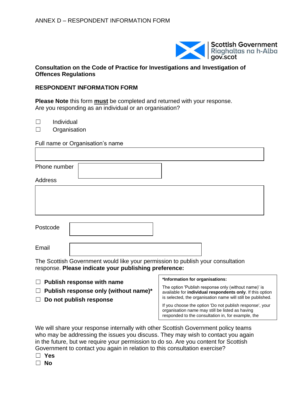

#### **Consultation on the Code of Practice for Investigations and Investigation of Offences Regulations**

### **RESPONDENT INFORMATION FORM**

**Please Note** this form **must** be completed and returned with your response. Are you responding as an individual or an organisation?

☐ Individual

☐ Organisation

Full name or Organisation's name

| Phone number   |  |  |  |
|----------------|--|--|--|
| <b>Address</b> |  |  |  |
|                |  |  |  |
|                |  |  |  |
|                |  |  |  |
| Postcode       |  |  |  |

Email

The Scottish Government would like your permission to publish your consultation response. **Please indicate your publishing preference:**

- ☐ **Publish response with name**
- ☐ **Publish response only (without name)\***
- ☐ **Do not publish response**

#### **\*Information for organisations:**

analysis report.

The option 'Publish response only (without name)' is available for **individual respondents only**. If this option is selected, the organisation name will still be published.

If you choose the option 'Do not publish response', your organisation name may still be listed as having responded to the consultation in, for example, the

We will share your response internally with other Scottish Government policy teams who may be addressing the issues you discuss. They may wish to contact you again in the future, but we require your permission to do so. Are you content for Scottish Government to contact you again in relation to this consultation exercise?

☐ **Yes**

☐ **No**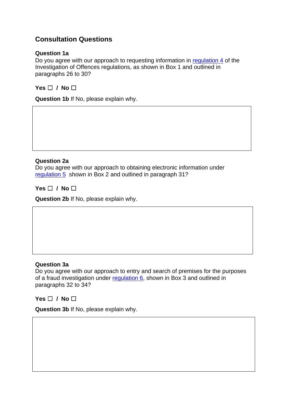## **Consultation Questions**

#### **Question 1a**

Do you agree with our approach to requesting information in [regulation 4](#page-40-0) of the Investigation of Offences regulations, as shown in Box 1 and outlined in paragraphs 26 to 30?

**Yes** ☐ **/ No** ☐

**Question 1b** If No, please explain why.

#### **Question 2a**

Do you agree with our approach to obtaining electronic information under [regulation 5](#page-41-0) shown in Box 2 and outlined in paragraph 31?

**Yes** ☐ **/ No** ☐

**Question 2b** If No, please explain why.

#### **Question 3a**

Do you agree with our approach to entry and search of premises for the purposes of a fraud investigation under [regulation 6,](#page-42-0) shown in Box 3 and outlined in paragraphs 32 to 34?

**Yes** ☐ **/ No** ☐

**Question 3b** If No, please explain why.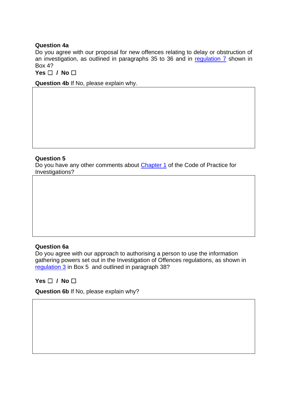#### **Question 4a**

Do you agree with our proposal for new offences relating to delay or obstruction of an investigation, as outlined in paragraphs 35 to 36 and in [regulation 7](#page-43-0) shown in Box 4?

**Yes** ☐ **/ No** ☐

**Question 4b** If No, please explain why.

#### **Question 5**

Do you have any other comments about [Chapter 1](#page-24-0) of the Code of Practice for Investigations?

#### **Question 6a**

Do you agree with our approach to authorising a person to use the information gathering powers set out in the Investigation of Offences regulations, as shown in [regulation 3](#page-40-1) in Box 5 and outlined in paragraph 38?

#### **Yes** ☐ **/ No** ☐

**Question 6b** If No, please explain why?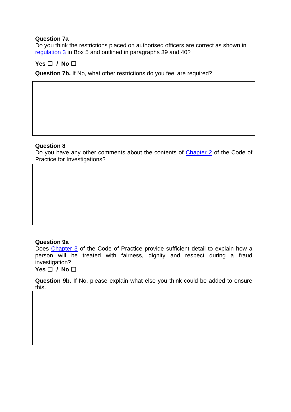#### **Question 7a**

Do you think the restrictions placed on authorised officers are correct as shown in [regulation 3](#page-40-1) in Box 5 and outlined in paragraphs 39 and 40?

### **Yes** ☐ **/ No** ☐

**Question 7b.** If No, what other restrictions do you feel are required?

#### **Question 8**

Do you have any other comments about the contents of [Chapter 2](#page-30-0) of the Code of Practice for Investigations?

#### **Question 9a**

Does [Chapter 3](#page-32-0) of the Code of Practice provide sufficient detail to explain how a person will be treated with fairness, dignity and respect during a fraud investigation?

**Yes** ☐ **/ No** ☐

**Question 9b.** If No, please explain what else you think could be added to ensure this.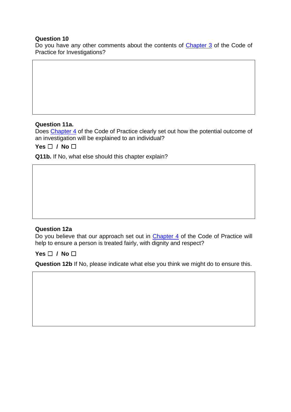#### **Question 10**

Do you have any other comments about the contents of [Chapter 3](#page-32-0) of the Code of Practice for Investigations?

### **Question 11a.**

Does [Chapter 4](#page-35-0) of the Code of Practice clearly set out how the potential outcome of an investigation will be explained to an individual?

**Yes** ☐ **/ No** ☐

**Q11b.** If No, what else should this chapter explain?

#### **Question 12a**

Do you believe that our approach set out in **Chapter 4** of the Code of Practice will help to ensure a person is treated fairly, with dignity and respect?

**Yes** ☐ **/ No** ☐

**Question 12b** If No, please indicate what else you think we might do to ensure this.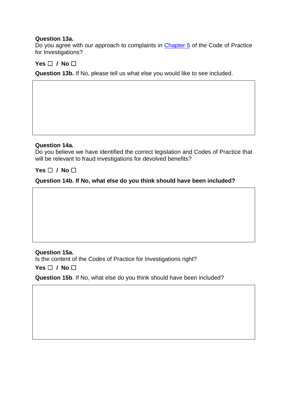#### **Question 13a.**

Do you agree with our approach to complaints in [Chapter 5](#page-37-0) of the Code of Practice for Investigations?

### **Yes** ☐ **/ No** ☐

**Question 13b.** If No, please tell us what else you would like to see included.

#### **Question 14a.**

Do you believe we have identified the correct legislation and Codes of Practice that will be relevant to fraud investigations for devolved benefits?

### **Yes** ☐ **/ No** ☐

#### **Question 14b. If No, what else do you think should have been included?**

#### **Question 15a.**

Is the content of the Codes of Practice for Investigations right?

**Yes** ☐ **/ No** ☐

**Question 15b**. If No, what else do you think should have been included?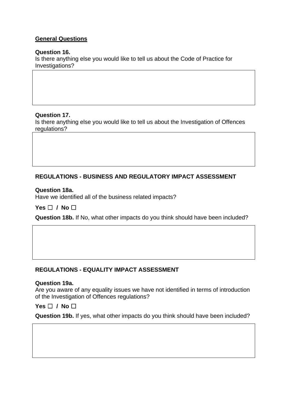## **General Questions**

#### **Question 16.**

Is there anything else you would like to tell us about the Code of Practice for Investigations?

#### **Question 17.**

Is there anything else you would like to tell us about the Investigation of Offences regulations?

## **REGULATIONS - BUSINESS AND REGULATORY IMPACT ASSESSMENT**

#### **Question 18a.**

Have we identified all of the business related impacts?

**Yes** ☐ **/ No** ☐

**Question 18b.** If No, what other impacts do you think should have been included?

### **REGULATIONS - EQUALITY IMPACT ASSESSMENT**

#### **Question 19a.**

Are you aware of any equality issues we have not identified in terms of introduction of the Investigation of Offences regulations?

### **Yes** ☐ **/ No** ☐

**Question 19b.** If yes, what other impacts do you think should have been included?